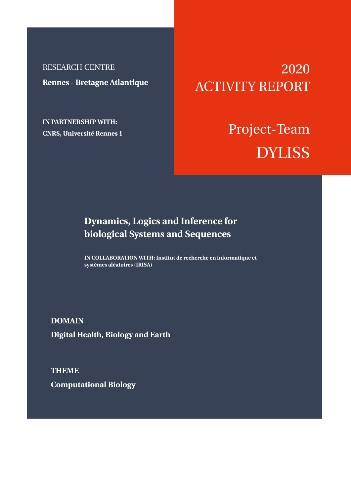RESEARCH CENTRE **Rennes - Bretagne Atlantique**

**IN PARTNERSHIP WITH: CNRS, Université Rennes 1**

# 2020 ACTIVITY REPORT

# Project-Team DYLISS

## **Dynamics, Logics and Inference for biological Systems and Sequences**

**IN COLLABORATION WITH: Institut de recherche en informatique et systèmes aléatoires (IRISA)**

**DOMAIN Digital Health, Biology and Earth**

**THEME Computational Biology**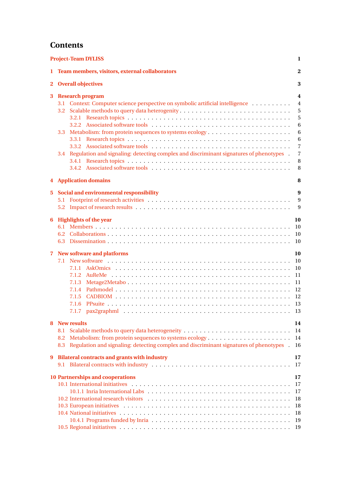## **Contents**

|             | <b>Project-Team DYLISS</b>                                                                                                                                                                                                                                                                                                                                                                                                                                                                                  | 1                                                                                          |
|-------------|-------------------------------------------------------------------------------------------------------------------------------------------------------------------------------------------------------------------------------------------------------------------------------------------------------------------------------------------------------------------------------------------------------------------------------------------------------------------------------------------------------------|--------------------------------------------------------------------------------------------|
|             | 1 Team members, visitors, external collaborators                                                                                                                                                                                                                                                                                                                                                                                                                                                            | $\overline{2}$                                                                             |
|             | 2 Overall objectives                                                                                                                                                                                                                                                                                                                                                                                                                                                                                        | 3                                                                                          |
| 3           | <b>Research program</b><br>3.1 Context: Computer science perspective on symbolic artificial intelligence<br>3.3<br>Regulation and signaling: detecting complex and discriminant signatures of phenotypes .<br>3.4                                                                                                                                                                                                                                                                                           | 4<br>$\overline{4}$<br>5<br>5<br>6<br>6<br>6<br>$\overline{7}$<br>$\overline{7}$<br>8<br>8 |
|             | <b>4</b> Application domains                                                                                                                                                                                                                                                                                                                                                                                                                                                                                | 8                                                                                          |
| $5^{\circ}$ | Social and environmental responsibility                                                                                                                                                                                                                                                                                                                                                                                                                                                                     | 9<br>9<br>9                                                                                |
| 6           | <b>Highlights of the year</b><br>6.2                                                                                                                                                                                                                                                                                                                                                                                                                                                                        | 10<br>10<br>10<br>10                                                                       |
| $\mathbf 7$ | <b>New software and platforms</b><br>7.1.2<br>7.1.3<br>7.1.4<br>7.1.5<br>7.1.6<br>7.1.7                                                                                                                                                                                                                                                                                                                                                                                                                     | 10<br><b>10</b><br>10<br>11<br>11<br>12<br>12<br>13<br>13                                  |
| 8<br>9      | <b>New results</b><br>8.2<br>Regulation and signaling: detecting complex and discriminant signatures of phenotypes<br>8.3<br><b>Bilateral contracts and grants with industry</b>                                                                                                                                                                                                                                                                                                                            | 14<br>14<br>14<br>-16<br>17                                                                |
|             |                                                                                                                                                                                                                                                                                                                                                                                                                                                                                                             | <sup>17</sup>                                                                              |
|             | <b>10 Partnerships and cooperations</b><br>10.1 International initiatives exceptional contact to contact the contact of the contact of the contact of the contact of the contact of the contact of the contact of the contact of the contact of the contact of the contac<br>10.2 International research visitors et al., and a series of the series of the series of the series of the series of the series of the series of the series of the series of the series of the series of the series of the ser | 17<br>17<br>17<br>18<br>18<br>18<br>19<br>-19                                              |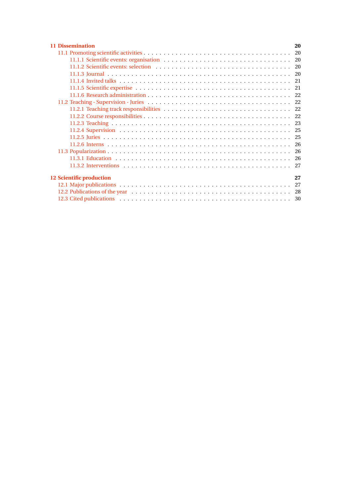| <b>11 Dissemination</b>        | 20 |  |
|--------------------------------|----|--|
|                                |    |  |
|                                |    |  |
|                                |    |  |
|                                |    |  |
|                                |    |  |
|                                |    |  |
|                                |    |  |
|                                |    |  |
|                                |    |  |
|                                |    |  |
|                                |    |  |
|                                |    |  |
|                                |    |  |
|                                |    |  |
|                                |    |  |
|                                |    |  |
|                                |    |  |
| 12 Scientific production<br>27 |    |  |
|                                |    |  |
|                                |    |  |
|                                |    |  |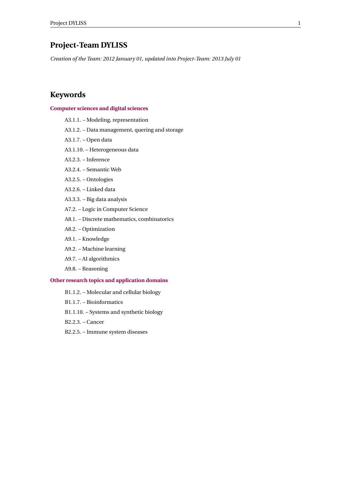## <span id="page-3-0"></span>**Project-Team DYLISS**

*Creation of the Team: 2012 January 01, updated into Project-Team: 2013 July 01*

## **Keywords**

#### **[Computer sciences and digital sciences](https://raweb.inria.fr/rapportsactivite/RA2020/static/keywords/ComputerScienceandDigitalScience.html)**

- A3.1.1. Modeling, representation
- A3.1.2. Data management, quering and storage
- A3.1.7. Open data
- A3.1.10. Heterogeneous data
- A3.2.3. Inference
- A3.2.4. Semantic Web
- A3.2.5. Ontologies
- A3.2.6. Linked data
- A3.3.3. Big data analysis
- A7.2. Logic in Computer Science
- A8.1. Discrete mathematics, combinatorics
- A8.2. Optimization
- A9.1. Knowledge
- A9.2. Machine learning
- A9.7. AI algorithmics
- A9.8. Reasoning

#### **[Other research topics and application domains](https://raweb.inria.fr/rapportsactivite/RA2020/static/keywords/OtherResearchTopicsandApplicationDomains.html)**

- B1.1.2. Molecular and cellular biology
- B1.1.7. Bioinformatics
- B1.1.10. Systems and synthetic biology
- B2.2.3. Cancer
- B2.2.5. Immune system diseases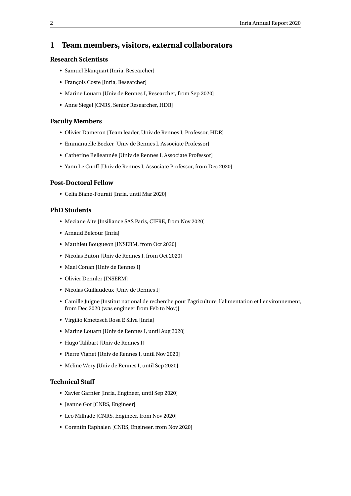## <span id="page-4-0"></span>**1 Team members, visitors, external collaborators**

#### **Research Scientists**

- Samuel Blanquart [Inria, Researcher]
- François Coste [Inria, Researcher]
- Marine Louarn [Univ de Rennes I, Researcher, from Sep 2020]
- Anne Siegel [CNRS, Senior Researcher, HDR]

#### **Faculty Members**

- Olivier Dameron [Team leader, Univ de Rennes I, Professor, HDR]
- Emmanuelle Becker [Univ de Rennes I, Associate Professor]
- Catherine Belleannée [Univ de Rennes I, Associate Professor]
- Yann Le Cunff [Univ de Rennes I, Associate Professor, from Dec 2020]

#### **Post-Doctoral Fellow**

• Celia Biane-Fourati [Inria, until Mar 2020]

#### **PhD Students**

- Meziane Aite [Insiliance SAS Paris, CIFRE, from Nov 2020]
- Arnaud Belcour [Inria]
- Matthieu Bougueon [INSERM, from Oct 2020]
- Nicolas Buton [Univ de Rennes I, from Oct 2020]
- Mael Conan [Univ de Rennes I]
- Olivier Dennler [INSERM]
- Nicolas Guillaudeux [Univ de Rennes I]
- Camille Juigne [Institut national de recherche pour l'agriculture, l'alimentation et l'environnement, from Dec 2020 (was engineer from Feb to Nov)]
- Virgilio Kmetzsch Rosa E Silva [Inria]
- Marine Louarn [Univ de Rennes I, until Aug 2020]
- Hugo Talibart [Univ de Rennes I]
- Pierre Vignet [Univ de Rennes I, until Nov 2020]
- Meline Wery [Univ de Rennes I, until Sep 2020]

#### **Technical Staff**

- Xavier Garnier [Inria, Engineer, until Sep 2020]
- Jeanne Got [CNRS, Engineer]
- Leo Milhade [CNRS, Engineer, from Nov 2020]
- Corentin Raphalen [CNRS, Engineer, from Nov 2020]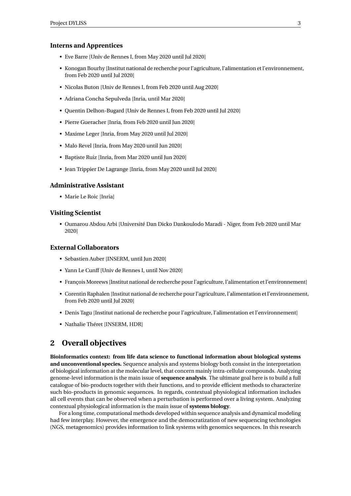#### **Interns and Apprentices**

- Eve Barre [Univ de Rennes I, from May 2020 until Jul 2020]
- Konogan Bourhy [Institut national de recherche pour l'agriculture, l'alimentation et l'environnement, from Feb 2020 until Jul 2020]
- Nicolas Buton [Univ de Rennes I, from Feb 2020 until Aug 2020]
- Adriana Concha Sepulveda [Inria, until Mar 2020]
- Quentin Delhon-Bugard [Univ de Rennes I, from Feb 2020 until Jul 2020]
- Pierre Gueracher [Inria, from Feb 2020 until Jun 2020]
- Maxime Leger [Inria, from May 2020 until Jul 2020]
- Malo Revel [Inria, from May 2020 until Jun 2020]
- Baptiste Ruiz [Inria, from Mar 2020 until Jun 2020]
- Jean Trippier De Lagrange [Inria, from May 2020 until Jul 2020]

#### **Administrative Assistant**

• Marie Le Roic [Inria]

#### **Visiting Scientist**

• Oumarou Abdou Arbi [Université Dan Dicko Dankoulodo Maradi - Niger, from Feb 2020 until Mar 2020]

#### **External Collaborators**

- Sebastien Auber [INSERM, until Jun 2020]
- Yann Le Cunff [Univ de Rennes I, until Nov 2020]
- François Moreews [Institut national de recherche pour l'agriculture, l'alimentation et l'environnement]
- Corentin Raphalen [Institut national de recherche pour l'agriculture, l'alimentation et l'environnement, from Feb 2020 until Jul 2020]
- Denis Tagu [Institut national de recherche pour l'agriculture, l'alimentation et l'environnement]
- Nathalie Théret [INSERM, HDR]

### <span id="page-5-0"></span>**2 Overall objectives**

**Bioinformatics context: from life data science to functional information about biological systems and unconventional species.** Sequence analysis and systems biology both consist in the interpretation of biological information at the molecular level, that concern mainly intra-cellular compounds. Analyzing genome-level information is the main issue of **sequence analysis**. The ultimate goal here is to build a full catalogue of bio-products together with their functions, and to provide efficient methods to characterize such bio-products in genomic sequences. In regards, contextual physiological information includes all cell events that can be observed when a perturbation is performed over a living system. Analyzing contextual physiological information is the main issue of **systems biology**.

For a long time, computational methods developed within sequence analysis and dynamical modeling had few interplay. However, the emergence and the democratization of new sequencing technologies (NGS, metagenomics) provides information to link systems with genomics sequences. In this research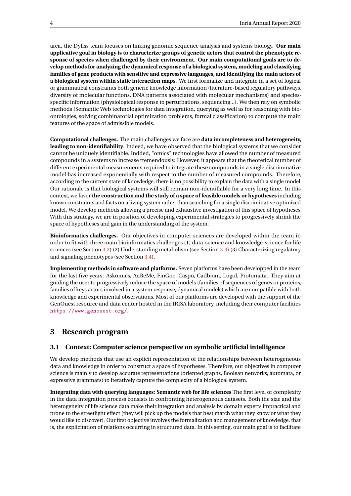area, the Dyliss team focuses on linking genomic sequence analysis and systems biology. **Our main applicative goal in biology is to characterize groups of genetic actors that control the phenotypic response of species when challenged by their environment**. **Our main computational goals are to develop methods for analyzing the dynamical response of a biological system, modeling and classifying families of gene products with sensitive and expressive languages, and identifying the main actors of a biological system within static interaction maps**. We first formalize and integrate in a set of logical or grammatical constraints both generic knowledge information (literature-based regulatory pathways, diversity of molecular functions, DNA patterns associated with molecular mechanisms) and speciesspecific information (physiological response to perturbations, sequencing...). We then rely on symbolic methods (Semantic Web technologies for data integration, querying as well as for reasoning with bioontologies, solving combinatorial optimization problems, formal classification) to compute the main features of the space of admissible models.

**Computational challenges.** The main challenges we face are **data incompleteness and heterogeneity, leading to non-identifiability**. Indeed, we have observed that the biological systems that we consider cannot be uniquely identifiable. Indded, "omics" technologies have allowed the number of measured compounds in a systems to increase tremendously. However, it appears that the theoretical number of different experimental measurements required to integrate these compounds in a single discriminative model has increased exponentially with respect to the number of measured compounds. Therefore, according to the current state of knowledge, there is no possibility to explain the data with a single model. Our rationale is that biological systems will still remain non-identifiable for a very long time. In this context, we favor **the construction and the study of a space of feasible models or hypotheses** including known constraints and facts on a living system rather than searching for a single discriminative optimized model. We develop methods allowing a precise and exhaustive investigation of this space of hypotheses. With this strategy, we are in position of developing experimental strategies to progressively shrink the space of hypotheses and gain in the understanding of the system.

**Bioinformatics challenges.** Our objectives in computer sciences are developed within the team in order to fit with three main bioinformatics challenges (1) data-science and knowledge-science for life sciences (see Section [3.2\)](#page-7-0) (2) Understanding metabolism (see Section [3.3\)](#page-8-1) (3) Characterizing regulatory and signaling phenotypes (see Section [3.4\)](#page-9-1).

**Implementing methods in software and platforms.** Seven platforms have been developped in the team for the last five years: Askomics, AuReMe, FinGoc, Caspo, Cadbiom, Logol, Protomata. They aim at guiding the user to progressively reduce the space of models (families of sequences of genes or proteins, families of keys actors involved in a system response, dynamical models) which are compatible with both knowledge and experimental observations. Most of our platforms are developed with the support of the GenOuest resource and data center hosted in the IRISA laboratory, including their computer facilities <https://www.genouest.org/>.

## <span id="page-6-0"></span>**3 Research program**

#### <span id="page-6-1"></span>**3.1 Context: Computer science perspective on symbolic artificial intelligence**

We develop methods that use an explicit representation of the relationships between heterogeneous data and knowledge in order to construct a space of hypotheses. Therefore, our objectives in computer science is mainly to develop accurate representations (oriented graphs, Boolean networks, automata, or expressive grammars) to iteratively capture the complexity of a biological system.

**Integrating data with querying languages: Semantic web for life sciences** The first level of complexity in the data integration process consists in confronting heterogeneous datasets. Both the size and the heretogeneity of life science data make their integration and analysis by domain experts impractical and prone to the streetlight effect (they will pick up the models that best match what they know or what they would like to discover). Our first objective involves the formalization and management of knowledge, that is, the explicitation of relations occurring in structured data. In this setting, our main goal is to facilitate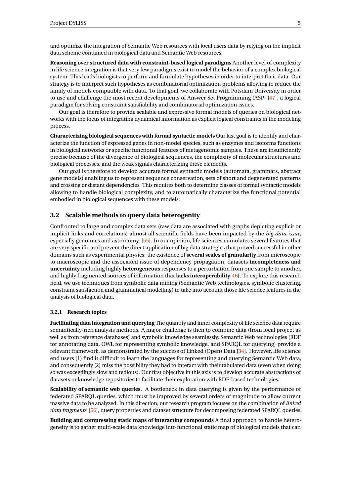and optimize the integration of Semantic Web resources with local users data by relying on the implicit data scheme contained in biological data and Semantic Web resources.

**Reasoning over structured data with constraint-based logical paradigms** Another level of complexity in life science integration is that very few paradigms exist to model the behavior of a complex biological system. This leads biologists to perform and formulate hypotheses in order to interpret their data. Our strategy is to interpret such hypotheses as combinatorial optimization problems allowing to reduce the family of models compatible with data. To that goal, we collaborate with Potsdam University in order to use and challenge the most recent developments of Answer Set Programming (ASP) [\[47\]](#page-33-0), a logical paradigm for solving constraint satisfiability and combinatorial optimization issues.

Our goal is therefore to provide scalable and expressive formal models of queries on biological networks with the focus of integrating dynamical information as explicit logical constraints in the modeling process.

**Characterizing biological sequences with formal syntactic models** Our last goal is to identify and characterize the function of expressed genes in non-model species, such as enzymes and isoforms functions in biological networks or specific functional features of metagenomic samples. These are insufficiently precise because of the divergence of biological sequences, the complexity of molecular structures and biological processes, and the weak signals characterizing these elements.

Our goal is therefore to develop accurate formal syntactic models (automata, grammars, abstract gene models) enabling us to represent sequence conservation, sets of short and degenerated patterns and crossing or distant dependencies. This requires both to determine classes of formal syntactic models allowing to handle biological complexity, and to automatically characterize the functional potential embodied in biological sequences with these models.

#### <span id="page-7-0"></span>**3.2 Scalable methods to query data heterogenity**

Confronted to large and complex data sets (raw data are associated with graphs depicting explicit or implicit links and correlations) almost all scientific fields have been impacted by the *big data issue*, especially genomics and astronomy [\[55\]](#page-33-1). In our opinion, life sciences cumulates several features that are very specific and prevent the direct application of big data strategies that proved successful in other domains such as experimental physics: the existence of **several scales of granularity** from microscopic to macroscopic and the associated issue of dependency propagation, datasets **incompleteness and uncertainty** including highly **heterogeneous** responses to a perturbation from one sample to another, and highly fragmented sources of information that **lacks interoperability**[\[46\]](#page-33-2). To explore this research field, we use techniques from symbolic data mining (Semantic Web technologies, symbolic clustering, constraint satisfaction and grammatical modelling) to take into account those life science features in the analysis of biological data.

#### <span id="page-7-1"></span>**3.2.1 Research topics**

**Facilitating data integration and querying** The quantity and inner complexity of life science data require semantically-rich analysis methods. A major challenge is then to combine data (from local project as well as from reference databases) and symbolic knowledge seamlessly. Semantic Web technologies (RDF for annotating data, OWL for representing symbolic knowledge, and SPARQL for querying) provide a relevant framework, as demonstrated by the success of Linked (Open) Data [\[34\]](#page-32-1). However, life science end users (1) find it difficult to learn the languages for representing and querying Semantic Web data, and consequently (2) miss the possibility they had to interact with their tabulated data (even when doing so was exceedingly slow and tedious). Our first objective in this axis is to develop accurate abstractions of datasets or knowledge repositories to facilitate their exploration with RDF-based technologies.

**Scalability of semantic web queries.** A bottleneck in data querying is given by the performance of federated SPARQL queries, which must be improved by several orders of magnitude to allow current massive data to be analyzed. In this direction, our research program focuses on the combination of *linked data fragments* [\[56\]](#page-33-3), query properties and dataset structure for decomposing federated SPARQL queries.

**Building and compressing static maps of interacting compounds** A final approach to handle heterogeneity is to gather multi-scale data knowledge into functional static map of biological models that can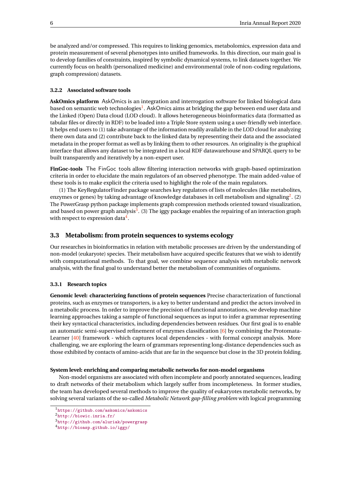be analyzed and/or compressed. This requires to linking genomics, metabolomics, expression data and protein measurement of several phenotypes into unified frameworks. In this direction, our main goal is to develop families of constraints, inspired by symbolic dynamical systems, to link datasets together. We currently focus on health (personalized medicine) and environmental (role of non-coding regulations, graph compression) datasets.

#### <span id="page-8-0"></span>**3.2.2 Associated software tools**

**AskOmics platform** AskOmics is an integration and interrogation software for linked biological data based on semantic web technologies<sup>[1](#page-8-3)</sup>. AskOmics aims at bridging the gap between end user data and the Linked (Open) Data cloud (LOD cloud). It allows heterogeneous bioinformatics data (formatted as tabular files or directly in RDF) to be loaded into a Triple Store system using a user-friendly web interface. It helps end users to (1) take advantage of the information readily available in the LOD cloud for analyzing there own data and (2) contribute back to the linked data by representing their data and the associated metadata in the proper format as well as by linking them to other resources. An originality is the graphical interface that allows any dataset to be integrated in a local RDF datawarehouse and SPARQL query to be built transparently and iteratively by a non-expert user.

**FinGoc-tools** The FinGoc tools allow filtering interaction networks with graph-based optimization criteria in order to elucidate the main regulators of an observed phenotype. The main added-value of these tools is to make explicit the criteria used to highlight the role of the main regulators.

(1) The KeyRegulatorFinder package searches key regulators of lists of molecules (like metabolites, enzymes or genes) by taking advantage of knowledge databases in cell metabolism and signaling<sup>[2](#page-8-4)</sup>. (2) The PowerGrasp python package implements graph compression methods oriented toward visualization, and based on power graph analysis<sup>[3](#page-8-5)</sup>. (3) The iggy package enables the repairing of an interaction graph with respect to expression data $^4\!$  $^4\!$  $^4\!$ .

#### <span id="page-8-1"></span>**3.3 Metabolism: from protein sequences to systems ecology**

Our researches in bioinformatics in relation with metabolic processes are driven by the understanding of non-model (eukaryote) species. Their metabolism have acquired specific features that we wish to identify with computational methods. To that goal, we combine sequence analysis with metabolic network analysis, with the final goal to understand better the metabolism of communities of organisms.

#### <span id="page-8-2"></span>**3.3.1 Research topics**

**Genomic level: characterizing functions of protein sequences** Precise characterization of functional proteins, such as enzymes or transporters, is a key to better understand and predict the actors involved in a metabolic process. In order to improve the precision of functional annotations, we develop machine learning approaches taking a sample of functional sequences as input to infer a grammar representing their key syntactical characteristics, including dependencies between residues. Our first goal is to enable an automatic semi-supervised refinement of enzymes classification [\[6\]](#page-29-3) by combining the Protomata-Learner [\[40\]](#page-32-2) framework - which captures local dependencies - with formal concept analysis. More challenging, we are exploring the learn of grammars representing long-distance dependencies such as those exhibited by contacts of amino-acids that are far in the sequence but close in the 3D protein folding.

#### **System level: enriching and comparing metabolic networks for non-model organisms**

Non-model organisms are associated with often incomplete and poorly annotated sequences, leading to draft networks of their metabolism which largely suffer from incompleteness. In former studies, the team has developed several methods to improve the quality of eukaryotes metabolic networks, by solving several variants of the so-called *Metabolic Network gap-filling problem* with logical programming

<span id="page-8-3"></span><sup>1</sup><https://github.com/askomics/askomics>

<span id="page-8-4"></span><sup>2</sup><http://biowic.inria.fr/>

<span id="page-8-5"></span><sup>3</sup><http://github.com/aluriak/powergrasp>

<span id="page-8-6"></span><sup>4</sup><http://bioasp.github.io/iggy/>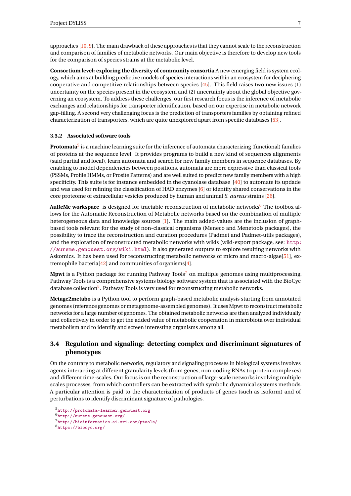approaches  $[10, 9]$  $[10, 9]$  $[10, 9]$ . The main drawback of these approaches is that they cannot scale to the reconstruction and comparison of families of metabolic networks. Our main objective is therefore to develop new tools for the comparison of species strains at the metabolic level.

**Consortium level: exploring the diversity of community consortia** A new emerging field is system ecology, which aims at building predictive models of species interactions within an ecosystem for deciphering cooperative and competitive relationships between species [\[45\]](#page-33-4). This field raises two new issues (1) uncertainty on the species present in the ecosystem and (2) uncertainty about the global objective governing an ecosystem. To address these challenges, our first research focus is the inference of metabolic exchanges and relationships for transporter identification, based on our expertise in metabolic network gap-filling. A second very challenging focus is the prediction of transporters families by obtaining refined characterization of transporters, which are quite unexplored apart from specific databases [\[53\]](#page-33-5).

#### <span id="page-9-0"></span>**3.3.2 Associated software tools**

**Protomata**[5](#page-9-2) is a machine learning suite for the inference of automata characterizing (functional) families of proteins at the sequence level. It provides programs to build a new kind of sequences alignments (said partial and local), learn automata and search for new family members in sequence databases. By enabling to model dependencies between positions, automata are more expressive than classical tools (PSSMs, Profile HMMs, or Prosite Patterns) and are well suited to predict new family members with a high specificity. This suite is for instance embedded in the cyanolase database [\[40\]](#page-32-2) to automate its updade and was used for refining the classification of HAD enzymes [\[6\]](#page-29-3) or identify shared conservations in the core proteome of extracellular vesicles produced by human and animal *S. aureus* strains [\[26\]](#page-31-0).

**AuReMe workspace** is designed for tractable reconstruction of metabolic networks<sup>[6](#page-9-3)</sup> The toolbox allows for the Automatic Reconstruction of Metabolic networks based on the combination of multiple heterogeneous data and knowledge sources [\[1\]](#page-29-6). The main added-values are the inclusion of graphbased tools relevant for the study of non-classical organisms (Meneco and Menetools packages), the possibility to trace the reconstruction and curation procedures (Padmet and Padmet-utils packages), and the exploration of reconstructed metabolic networks with wikis (wiki-export package, see: [http:](http://aureme.genouest.org/wiki.html) [//aureme.genouest.org/wiki.html](http://aureme.genouest.org/wiki.html)). It also generated outputs to explore resulting networks with Askomics. It has been used for reconstructing metabolic networks of micro and macro-algae[\[51\]](#page-33-6), extremophile bacteria[\[42\]](#page-32-3) and communities of organisms[\[4\]](#page-29-7).

**Mpwt** is a Python package for running Pathway Tools<sup>[7](#page-9-4)</sup> on multiple genomes using multiprocessing. Pathway Tools is a comprehensive systems biology software system that is associated with the BioCyc database collection<sup>[8](#page-9-5)</sup>. Pathway Tools is very used for reconstructing metabolic networks.

**Metage2metabo** is a Python tool to perform graph-based metabolic analysis starting from annotated genomes (reference genomes or metagenome-assembled genomes). It uses Mpwt to reconstruct metabolic networks for a large number of genomes. The obtained metabolic networks are then analyzed individually and collectively in order to get the added value of metabolic cooperation in microbiota over individual metabolism and to identify and screen interesting organisms among all.

## <span id="page-9-1"></span>**3.4 Regulation and signaling: detecting complex and discriminant signatures of phenotypes**

On the contrary to metabolic networks, regulatory and signaling processes in biological systems involves agents interacting at different granularity levels (from genes, non-coding RNAs to protein complexes) and different time-scales. Our focus is on the reconstruction of large-scale networks involving multiple scales processes, from which controllers can be extracted with symbolic dynamical systems methods. A particular attention is paid to the characterization of products of genes (such as isoform) and of perturbations to identify discriminant signature of pathologies.

<span id="page-9-2"></span><sup>5</sup><http://protomata-learner.genouest.org>

<span id="page-9-3"></span><sup>6</sup><http://aureme.genouest.org/>

<span id="page-9-4"></span><sup>7</sup><http://bioinformatics.ai.sri.com/ptools/>

<span id="page-9-5"></span><sup>8</sup><https://biocyc.org/>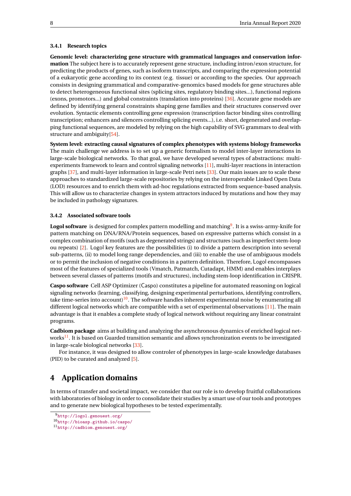#### <span id="page-10-0"></span>**3.4.1 Research topics**

**Genomic level: characterizing gene structure with grammatical languages and conservation information** The subject here is to accurately represent gene structure, including intron/exon structure, for predicting the products of genes, such as isoform transcripts, and comparing the expression potential of a eukaryotic gene according to its context (e.g. tissue) or according to the species. Our approach consists in designing grammatical and comparative-genomics based models for gene structures able to detect heterogeneous functional sites (splicing sites, regulatory binding sites...), functional regions (exons, promotors...) and global constraints (translation into proteins) [\[36\]](#page-32-4). Accurate gene models are defined by identifying general constraints shaping gene families and their structures conserved over evolution. Syntactic elements controlling gene expression (transcription factor binding sites controlling transcription; enhancers and silencers controlling splicing events...), i.e. short, degenerated and overlapping functional sequences, are modeled by relying on the high capability of SVG grammars to deal with structure and ambiguity[\[54\]](#page-33-7).

**System level: extracting causal signatures of complex phenotypes with systems biology frameworks** The main challenge we address is to set up a generic formalism to model inter-layer interactions in large-scale biological networks. To that goal, we have developed several types of abstractions: multiexperiments framework to learn and control signaling networks [\[11\]](#page-30-1), multi-layer reactions in interaction graphs [\[37\]](#page-32-5), and multi-layer information in large-scale Petri nets [\[33\]](#page-32-6). Our main issues are to scale these approaches to standardized large-scale repositories by relying on the interoperable Linked Open Data (LOD) resources and to enrich them with ad-hoc regulations extracted from sequence-based analysis. This will allow us to characterize changes in system attractors induced by mutations and how they may be included in pathology signatures.

#### <span id="page-10-1"></span>**3.4.2 Associated software tools**

**Logol software** is designed for complex pattern modelling and matching[9](#page-10-3) . It is a swiss-army-knife for pattern matching on DNA/RNA/Protein sequences, based on expressive patterns which consist in a complex combination of motifs (such as degenerated strings) and structures (such as imperfect stem-loop ou repeats) [\[2\]](#page-29-8). Logol key features are the possibilities (i) to divide a pattern description into several sub-patterns, (ii) to model long range dependencies, and (iii) to enable the use of ambiguous models or to permit the inclusion of negative conditions in a pattern definition. Therefore, Logol encompasses most of the features of specialized tools (Vmatch, Patmatch, Cutadapt, HMM) and enables interplays between several classes of patterns (motifs and structures), including stem-loop identification in CRISPR.

**Caspo software** Cell ASP Optimizer (Caspo) constitutes a pipeline for automated reasoning on logical signaling networks (learning, classifying, designing experimental perturbations, identifying controllers, take time-series into account)<sup>[10](#page-10-4)</sup>. The software handles inherent experimental noise by enumerating all different logical networks which are compatible with a set of experimental observations [\[11\]](#page-30-1). The main advantage is that it enables a complete study of logical network without requiring any linear constraint programs.

**Cadbiom package** aims at building and analyzing the asynchronous dynamics of enriched logical net-works<sup>[11](#page-10-5)</sup>. It is based on Guarded transition semantic and allows synchronization events to be investigated in large-scale biological networks [\[33\]](#page-32-6).

For instance, it was designed to allow controler of phenotypes in large-scale knowledge databases (PID) to be curated and analyzed [\[5\]](#page-29-9).

## <span id="page-10-2"></span>**4 Application domains**

In terms of transfer and societal impact, we consider that our role is to develop fruitful collaborations with laboratories of biology in order to consolidate their studies by a smart use of our tools and prototypes and to generate new biological hypotheses to be tested experimentally.

<span id="page-10-3"></span><sup>9</sup><http://logol.genouest.org/>

<span id="page-10-4"></span><sup>10</sup><http://bioasp.github.io/caspo/>

<span id="page-10-5"></span><sup>11</sup><http://cadbiom.genouest.org/>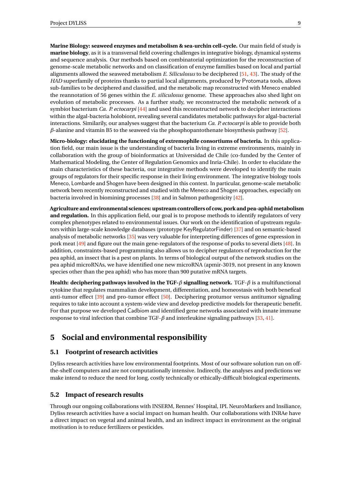**Marine Biology: seaweed enzymes and metabolism & sea-urchin cell-cycle.** Our main field of study is **marine biology**, as it is a transversal field covering challenges in integrative biology, dynamical systems and sequence analysis. Our methods based on combinatorial optimization for the reconstruction of genome-scale metabolic networks and on classification of enzyme families based on local and partial alignments allowed the seaweed metabolism *E. Siliculosus* to be deciphered [\[51,](#page-33-6) [43\]](#page-32-7). The study of the *HAD* superfamily of proteins thanks to partial local alignments, produced by Protomata tools, allows sub-families to be deciphered and classified, and the metabolic map reconstructed with Meneco enabled the reannotation of 56 genes within the *E. siliculosus* genome. These approaches also shed light on evolution of metabolic processes. As a further study, we reconstructed the metabolic network of a symbiot bacterium *Ca. P. ectocarpi* [\[44\]](#page-33-8) and used this reconstructed network to decipher interactions within the algal-bacteria holobiont, revealing several candidates metabolic pathways for algal-bacterial interactions. Similarily, our analyses suggest that the bacterium *Ca. P. ectocarpi* is able to provide both *β*-alanine and vitamin B5 to the seaweed via the phosphopantothenate biosynthesis pathway [\[52\]](#page-33-9).

**Micro-biology: elucidating the functioning of extremophile consortiums of bacteria.** In this application field, our main issue is the understanding of bacteria living in extreme environments, mainly in collaboration with the group of bioinformatics at Universidad de Chile (co-funded by the Center of Mathematical Modeling, the Center of Regulation Genomics and Inria-Chile). In order to elucidate the main characteristics of these bacteria, our integrative methods were developed to identify the main groups of regulators for their specific response in their living environment. The integrative biology tools Meneco, Lombarde and Shogen have been designed in this context. In particular, genome-scale metabolic network been recently reconstructed and studied with the Meneco and Shogen approaches, especially on bacteria involved in biomining processes [\[38\]](#page-32-8) and in Salmon pathogenicity [\[42\]](#page-32-3).

**Agriculture and environmental sciences: upstream controllers of cow, pork and pea-aphid metabolism and regulation.** In this application field, our goal is to propose methods to identify regulators of very complex phenotypes related to environmental issues. Our work on the identification of upstream regulators within large-scale knowledge databases (prototype KeyRegulatorFinder) [\[37\]](#page-32-5) and on semantic-based analysis of metabolic networks [\[35\]](#page-32-9) was very valuable for interpreting differences of gene expression in pork meat [\[49\]](#page-33-10) and figure out the main gene-regulators of the response of porks to several diets [\[48\]](#page-33-11). In addition, constraints-based programming also allows us to decipher regulators of reproduction for the pea aphid, an insect that is a pest on plants. In terms of biological output of the network studies on the pea aphid microRNAs, we have identified one new microRNA (apmir-3019, not present in any known species other than the pea aphid) who has more than 900 putative mRNA targets.

**Health: deciphering pathways involved in the TGF-***β* **signalling network.** TGF-*β* is a multifunctional cytokine that regulates mammalian development, differentiation, and homeostasis with both benefical anti-tumor effect [\[39\]](#page-32-10) and pro-tumor effect [\[50\]](#page-33-12). Deciphering protumor versus antitumor signaling requires to take into account a system-wide view and develop predictive models for therapeutic benefit. For that purpose we developed Cadbiom and identified gene networks associated with innate immune response to viral infection that combine TGF-*β* and interleukine signaling pathways [\[33,](#page-32-6) [41\]](#page-32-11).

## <span id="page-11-0"></span>**5 Social and environmental responsibility**

#### <span id="page-11-1"></span>**5.1 Footprint of research activities**

Dyliss research activities have low environmental footprints. Most of our software solution run on offthe-shelf computers and are not computationally intensive. Indirectly, the analyses and predictions we make intend to reduce the need for long, costly technically or ethically-difficult biological experiments.

#### <span id="page-11-2"></span>**5.2 Impact of research results**

Through our ongoing collaborations with INSERM, Rennes' Hospital, IPL NeuroMarkers and Insiliance, Dyliss research activities have a social impact on human health. Our collaborations with INRAe have a direct impact on vegetal and animal health, and an indirect impact in environment as the original motivation is to reduce fertilizers or pesticides.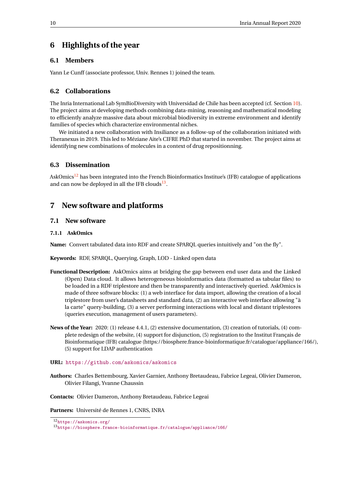## <span id="page-12-0"></span>**6 Highlights of the year**

#### <span id="page-12-1"></span>**6.1 Members**

Yann Le Cunff (associate professor, Univ. Rennes 1) joined the team.

#### <span id="page-12-2"></span>**6.2 Collaborations**

The Inria International Lab SymBioDiversity with Universidad de Chile has been accepted (cf. Section [10\)](#page-19-2). The project aims at developing methods combining data-mining, reasoning and mathematical modeling to efficiently analyze massive data about microbial biodiversity in extreme environment and identify families of species which characterize environmental niches.

We initiated a new collaboration with Insiliance as a follow-up of the collaboration initiated with Theranexus in 2019. This led to Méziane Aite's CIFRE PhD that started in november. The project aims at identifying new combinations of molecules in a context of drug repositionning.

## <span id="page-12-3"></span>**6.3 Dissemination**

AskOmics<sup>[12](#page-12-7)</sup> has been integrated into the French Bioinformatics Institue's (IFB) catalogue of applications and can now be deployed in all the IFB clouds $^{13}$  $^{13}$  $^{13}$ .

## <span id="page-12-4"></span>**7 New software and platforms**

## <span id="page-12-5"></span>**7.1 New software**

#### <span id="page-12-6"></span>**7.1.1 AskOmics**

**Name:** Convert tabulated data into RDF and create SPARQL queries intuitively and "on the fly".

**Keywords:** RDF, SPARQL, Querying, Graph, LOD - Linked open data

- **Functional Description:** AskOmics aims at bridging the gap between end user data and the Linked (Open) Data cloud. It allows heterogeneous bioinformatics data (formatted as tabular files) to be loaded in a RDF triplestore and then be transparently and interactively queried. AskOmics is made of three software blocks: (1) a web interface for data import, allowing the creation of a local triplestore from user's datasheets and standard data, (2) an interactive web interface allowing "à la carte" query-building, (3) a server performing interactions with local and distant triplestores (queries execution, management of users parameters).
- **News of the Year:** 2020: (1) release 4.4.1, (2) extensive documentation, (3) creation of tutorials, (4) complete redesign of the website, (4) support for disjunction, (5) registration to the Institut Français de Bioinformatique (IFB) catalogue (https://biosphere.france-bioinformatique.fr/catalogue/appliance/166/), (5) support for LDAP authentication

#### **URL:** <https://github.com/askomics/askomics>

**Authors:** Charles Bettembourg, Xavier Garnier, Anthony Bretaudeau, Fabrice Legeai, Olivier Dameron, Olivier Filangi, Yvanne Chaussin

**Contacts:** Olivier Dameron, Anthony Bretaudeau, Fabrice Legeai

**Partners:** Université de Rennes 1, CNRS, INRA

<span id="page-12-7"></span><sup>12</sup><https://askomics.org/>

<span id="page-12-8"></span><sup>13</sup><https://biosphere.france-bioinformatique.fr/catalogue/appliance/166/>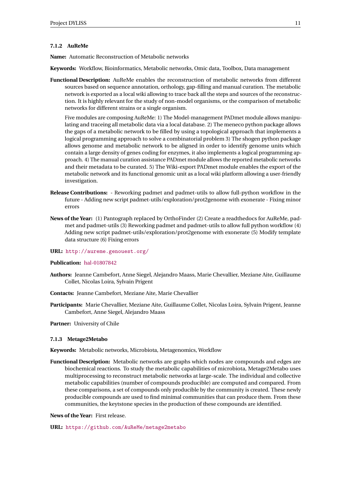#### <span id="page-13-0"></span>**7.1.2 AuReMe**

**Name:** Automatic Reconstruction of Metabolic networks

**Keywords:** Workflow, Bioinformatics, Metabolic networks, Omic data, Toolbox, Data management

**Functional Description:** AuReMe enables the reconstruction of metabolic networks from different sources based on sequence annotation, orthology, gap-filling and manual curation. The metabolic network is exported as a local wiki allowing to trace back all the steps and sources of the reconstruction. It is highly relevant for the study of non-model organisms, or the comparison of metabolic networks for different strains or a single organism.

Five modules are composing AuReMe: 1) The Model-management PADmet module allows manipulating and traceing all metabolic data via a local database. 2) The meneco python package allows the gaps of a metabolic network to be filled by using a topological approach that implements a logical programming approach to solve a combinatorial problem 3) The shogen python package allows genome and metabolic network to be aligned in order to identify genome units which contain a large density of genes coding for enzymes, it also implements a logical programming approach. 4) The manual curation assistance PADmet module allows the reported metabolic networks and their metadata to be curated. 5) The Wiki-export PADmet module enables the export of the metabolic network and its functional genomic unit as a local wiki platform allowing a user-friendly investigation.

- **Release Contributions:** Reworking padmet and padmet-utils to allow full-python workflow in the future - Adding new script padmet-utils/exploration/prot2genome with exonerate - Fixing minor errors
- **News of the Year:** (1) Pantograph replaced by OrthoFinder (2) Create a readthedocs for AuReMe, padmet and padmet-utils (3) Reworking padmet and padmet-utils to allow full python workflow (4) Adding new script padmet-utils/exploration/prot2genome with exonerate (5) Modify template data structure (6) Fixing errors
- **URL:** <http://aureme.genouest.org/>

#### **Publication:** [hal-01807842](https://hal.inria.fr/hal-01807842)

- **Authors:** Jeanne Cambefort, Anne Siegel, Alejandro Maass, Marie Chevallier, Meziane Aite, Guillaume Collet, Nicolas Loira, Sylvain Prigent
- **Contacts:** Jeanne Cambefort, Meziane Aite, Marie Chevallier
- **Participants:** Marie Chevallier, Meziane Aite, Guillaume Collet, Nicolas Loira, Sylvain Prigent, Jeanne Cambefort, Anne Siegel, Alejandro Maass

**Partner:** University of Chile

#### <span id="page-13-1"></span>**7.1.3 Metage2Metabo**

**Keywords:** Metabolic networks, Microbiota, Metagenomics, Workflow

**Functional Description:** Metabolic networks are graphs which nodes are compounds and edges are biochemical reactions. To study the metabolic capabilities of microbiota, Metage2Metabo uses multiprocessing to reconstruct metabolic networks at large-scale. The individual and collective metabolic capabilities (number of compounds producible) are computed and compared. From these comparisons, a set of compounds only producible by the community is created. These newly producible compounds are used to find minimal communities that can produce them. From these communities, the keytstone species in the production of these compounds are identified.

**News of the Year:** First release.

**URL:** <https://github.com/AuReMe/metage2metabo>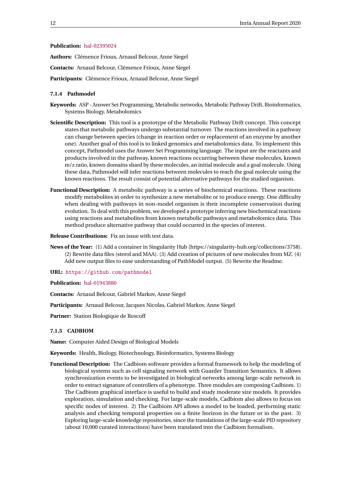#### **Publication:** [hal-02395024](https://hal.inria.fr/hal-02395024)

**Authors:** Clémence Frioux, Arnaud Belcour, Anne Siegel

**Contacts:** Arnaud Belcour, Clémence Frioux, Anne Siegel

**Participants:** Clémence Frioux, Arnaud Belcour, Anne Siegel

#### <span id="page-14-0"></span>**7.1.4 Pathmodel**

- **Keywords:** ASP Answer Set Programming, Metabolic networks, Metabolic Pathway Drift, Bioinformatics, Systems Biology, Metabolomics
- **Scientific Description:** This tool is a prototype of the Metabolic Pathway Drift concept. This concept states that metabolic pathways undergo substantial turnover. The reactions involved in a pathway can change between species (change in reaction order or replacement of an enzyme by another one). Another goal of this tool is to linked genomics and metabolomics data. To implement this concept, Pathmodel uses the Answer Set Programming language. The input are the reactants and products involved in the pathway, known reactions occurring between these molecules, known m/z ratio, known domains shard by these molecules, an initial molecule and a goal molecule. Using these data, Pathmodel will infer reactions between molecules to reach the goal molecule using the known reactions. The result consist of potential alternative pathways for the studied organism.
- **Functional Description:** A metabolic pathway is a series of biochemical reactions. These reactions modify metabolites in order to synthesize a new metabolite or to produce energy. One difficulty when dealing with pathways in non-model organism is their incomplete conservation during evolution. To deal with this problem, we developed a prototype inferring new biochemical reactions using reactions and metabolites from known metabolic pathways and metabolomics data. This method produce alternative pathway that could occurred in the species of interest.

**Release Contributions:** Fix an issue with test data.

**News of the Year:** (1) Add a container in Singularity Hub (https://singularity-hub.org/collections/3758). (2) Rewrite data files (sterol and MAA). (3) Add creation of pictures of new molecules from MZ. (4) Add new output files to ease understanding of PathModel output. (5) Rewrite the Readme.

**URL:** <https://github.com/pathmodel>

**Publication:** [hal-01943880](https://hal.inria.fr/hal-01943880)

**Contacts:** Arnaud Belcour, Gabriel Markov, Anne Siegel

**Participants:** Arnaud Belcour, Jacques Nicolas, Gabriel Markov, Anne Siegel

**Partner:** Station Biologique de Roscoff

#### <span id="page-14-1"></span>**7.1.5 CADBIOM**

**Name:** Computer Aided Design of Biological Models

**Keywords:** Health, Biology, Biotechnology, Bioinformatics, Systems Biology

**Functional Description:** The Cadbiom software provides a formal framework to help the modeling of biological systems such as cell signaling network with Guarder Transition Semantics. It allows synchronization events to be investigated in biological networks among large-scale network in order to extract signature of controllers of a phenotype. Three modules are composing Cadbiom. 1) The Cadbiom graphical interface is useful to build and study moderate size models. It provides exploration, simulation and checking. For large-scale models, Cadbiom also allows to focus on specific nodes of interest. 2) The Cadbiom API allows a model to be loaded, performing static analysis and checking temporal properties on a finite horizon in the future or in the past. 3) Exploring large-scale knowledge repositories, since the translations of the large-scale PID repository (about 10,000 curated interactions) have been translated into the Cadbiom formalism.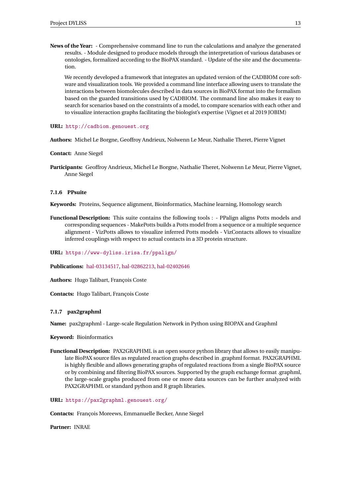**News of the Year:** - Comprehensive command line to run the calculations and analyze the generated results. - Module designed to produce models through the interpretation of various databases or ontologies, formalized according to the BioPAX standard. - Update of the site and the documentation.

We recently developed a framework that integrates an updated version of the CADBIOM core software and visualization tools. We provided a command line interface allowing users to translate the interactions between biomolecules described in data sources in BioPAX format into the formalism based on the guarded transitions used by CADBIOM. The command line also makes it easy to search for scenarios based on the constraints of a model, to compare scenarios with each other and to visualize interaction graphs facilitating the biologist's expertise (Vignet et al 2019 JOBIM)

**URL:** <http://cadbiom.genouest.org>

**Authors:** Michel Le Borgne, Geoffroy Andrieux, Nolwenn Le Meur, Nathalie Theret, Pierre Vignet

**Contact:** Anne Siegel

**Participants:** Geoffroy Andrieux, Michel Le Borgne, Nathalie Theret, Nolwenn Le Meur, Pierre Vignet, Anne Siegel

#### <span id="page-15-0"></span>**7.1.6 PPsuite**

**Keywords:** Proteins, Sequence alignment, Bioinformatics, Machine learning, Homology search

**Functional Description:** This suite contains the following tools : - PPalign aligns Potts models and corresponding sequences - MakePotts builds a Potts model from a sequence or a multiple sequence alignment - VizPotts allows to visualize inferred Potts models - VizContacts allows to visualize inferred couplings with respect to actual contacts in a 3D protein structure.

**URL:** <https://www-dyliss.irisa.fr/ppalign/>

**Publications:** [hal-03134517,](https://hal.inria.fr/hal-03134517) [hal-02862213,](https://hal.inria.fr/hal-02862213) [hal-02402646](https://hal.inria.fr/hal-02402646)

**Authors:** Hugo Talibart, François Coste

**Contacts:** Hugo Talibart, François Coste

#### <span id="page-15-1"></span>**7.1.7 pax2graphml**

**Name:** pax2graphml - Large-scale Regulation Network in Python using BIOPAX and Graphml

**Keyword:** Bioinformatics

**Functional Description:** PAX2GRAPHML is an open source python library that allows to easily manipulate BioPAX source files as regulated reaction graphs described in .graphml format. PAX2GRAPHML is highly flexible and allows generating graphs of regulated reactions from a single BioPAX source or by combining and filtering BioPAX sources. Supported by the graph exchange format .graphml, the large-scale graphs produced from one or more data sources can be further analyzed with PAX2GRAPHML or standard python and R graph libraries.

**URL:** <https://pax2graphml.genouest.org/>

**Contacts:** François Moreews, Emmanuelle Becker, Anne Siegel

**Partner:** INRAE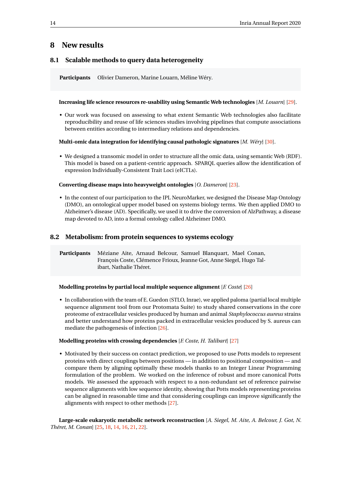## <span id="page-16-0"></span>**8 New results**

## <span id="page-16-1"></span>**8.1 Scalable methods to query data heterogeneity**

**Participants** Olivier Dameron, Marine Louarn, Méline Wéry.

#### **Increasing life science resources re-usability using Semantic Web technologies** [*M. Louarn*] [\[29\]](#page-31-1).

• Our work was focused on assessing to what extent Semantic Web technologies also facilitate reproducibility and reuse of life sciences studies involving pipelines that compute associations between entities according to intermediary relations and dependencies.

#### **Multi-omic data integration for identifying causal pathologic signatures** [*M. Wéry*] [\[30\]](#page-31-2).

• We designed a transomic model in order to structure all the omic data, using semantic Web (RDF). This model is based on a patient-centric approach. SPARQL queries allow the identification of expression Individually-Consistent Trait Loci (eICTLs).

#### **Converting disease maps into heavyweight ontologies** [*O. Dameron*] [\[23\]](#page-31-3).

• In the context of our participation to the IPL NeuroMarker, we designed the Disease Map Ontology (DMO), an ontological upper model based on systems biology terms. We then applied DMO to Alzheimer's disease (AD). Specifically, we used it to drive the conversion of AlzPathway, a disease map devoted to AD, into a formal ontology called Alzheimer DMO.

#### <span id="page-16-2"></span>**8.2 Metabolism: from protein sequences to systems ecology**

**Participants** Méziane Aite, Arnaud Belcour, Samuel Blanquart, Mael Conan, François Coste, Clémence Frioux, Jeanne Got, Anne Siegel, Hugo Talibart, Nathalie Théret.

#### **Modelling proteins by partial local multiple sequence alignment** [*F. Coste*] [\[26\]](#page-31-0)

• In collaboration with the team of E. Guedon (STLO, Inrae), we applied paloma (partial local multiple sequence alignment tool from our Protomata Suite) to study shared conservations in the core proteome of extracellular vesicles produced by human and animal *Staphylococcus aureus* strains and better understand how proteins packed in extracellular vesicles produced by S. aureus can mediate the pathogenesis of infection [\[26\]](#page-31-0).

#### **Modelling proteins with crossing dependencies** [*F. Coste, H. Talibart*] [\[27\]](#page-31-4)

• Motivated by their success on contact prediction, we proposed to use Potts models to represent proteins with direct couplings between positions — in addition to positional composition — and compare them by aligning optimally these models thanks to an Integer Linear Programming formulation of the problem. We worked on the inference of robust and more canonical Potts models. We assessed the approach with respect to a non-redundant set of reference pairwise sequence alignments with low sequence identity, showing that Potts models representing proteins can be aligned in reasonable time and that considering couplings can improve significantly the alignments with respect to other methods [\[27\]](#page-31-4).

**Large-scale eukaryotic metabolic network reconstruction** [*A. Siegel, M. Aite, A. Belcour, J. Got, N. Théret, M. Conan*] [\[25,](#page-31-5) [18,](#page-30-2) [14,](#page-30-3) [16,](#page-30-4) [21,](#page-31-6) [22\]](#page-31-7).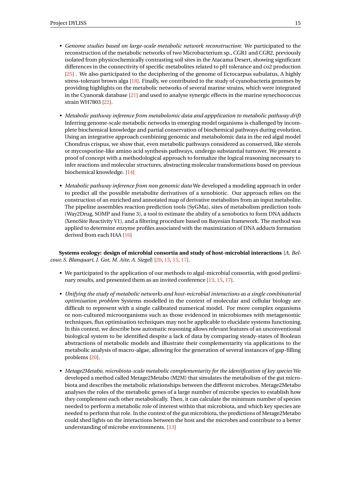- *Genome studies based on large-scale metabolic network reconstruction*: We participated to the reconstruction of the metabolic networks of two Microbacterium sp., CGR1 and CGR2, previously isolated from physicochemically contrasting soil sites in the Atacama Desert, showing significant differences in the connectivity of specific metabolites related to pH tolerance and co2 production [\[25\]](#page-31-5) . We also participated to the deciphering of the genome of Ectocarpus subulatus, A highly stress-tolerant brown alga [\[18\]](#page-30-2). Finally, we contributed to the study of cyanobacteria genomes by providing highlights on the metabolic networks of several marine strains, which were integrated in the Cyanorak database [\[21\]](#page-31-6) and used to analyse synergic effects in the marine synechococcus strain WH7803 [\[22\]](#page-31-7).
- *Metabolic pathway inference from metabolomic data and appplication to metabolic pathway drift* Inferring genome-scale metabolic networks in emerging model organisms is challenged by incomplete biochemical knowledge and partial conservation of biochemical pathways during evolution. Using an integrative approach combining genomic and metabolomic data in the red algal model Chondrus crispus, we show that, even metabolic pathways considered as conserved, like sterols or mycosporine-like amino acid synthesis pathways, undergo substantial turnover. We present a proof of concept with a methodological approach to formalize the logical reasoning necessary to infer reactions and molecular structures, abstracting molecular transformations based on previous biochemical knowledge. [\[14\]](#page-30-3)
- *Metabolic pathway inference from non genomic data* We developed a modeling approach in order to predict all the possible metabolite derivatives of a xenobiotic. Our approach relies on the construction of an enriched and annotated map of derivative metabolites from an input metabolite. The pipeline assembles reaction prediction tools (SyGMa), sites of metabolism prediction tools (Way2Drug, SOMP and Fame 3), a tool to estimate the ability of a xenobotics to form DNA adducts (XenoSite Reactivity V1), and a filtering procedure based on Bayesian framework. The method was applied to determine enzyme profiles associated with the maximization of DNA adducts formation derived from each HAA [\[16\]](#page-30-4)

**Systems ecology: design of microbial consortia and study of host-microbial interactions** [*A. Belcour, S. Blanquart, J. Got, M. Aite, A. Siegel*] [\[20,](#page-30-5) [13,](#page-30-6) [15,](#page-30-7) [17\]](#page-30-8).

- We participated to the application of our methods to algal-microbial consortia, with good preliminary results, and presented them as an invited conference [\[13,](#page-30-6) [15,](#page-30-7) [17\]](#page-30-8).
- *Unifying the study of metabolic networks and host-microbial interactions as a single combinatorial optimisation problem* Systems modelled in the context of molecular and cellular biology are difficult to represent with a single calibrated numerical model. For more complex organisms or non-cultured microorganisms such as those evidenced in microbiomes with metagenomic techniques, flux optimisation techniques may not be applicable to elucidate systems functioning. In this context, we describe how automatic reasoning allows relevant features of an unconventional biological system to be identified despite a lack of data by comparing steady-states of Boolean abstractions of metabolic models and illustrate their complementarity via applications to the metabolic analysis of macro-algae, allowing for the generation of several instances of gap-filling problems [\[20\]](#page-30-5).
- *Metage2Metabo, microbiota-scale metabolic complementarity for the identification of key species* We developed a method called Metage2Metabo (M2M) that simulates the metabolism of the gut microbiota and describes the metabolic relationships between the different microbes. Metage2Metabo analyses the roles of the metabolic genes of a large number of microbe species to establish how they complement each other metabolically. Then, it can calculate the minimum number of species needed to perform a metabolic role of interest within that microbiota, and which key species are needed to perform that role. In the context of the gut microbiota, the predictions of Metage2Metabo could shed lights on the interactions between the host and the microbes and contribute to a better understanding of microbe environments. [\[13\]](#page-30-6)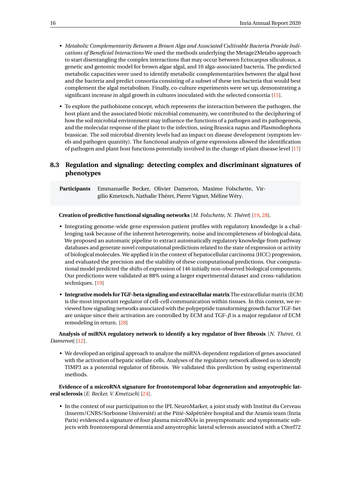- *Metabolic Complementarity Between a Brown Alga and Associated Cultivable Bacteria Provide Indications of Beneficial Interactions* We used the methods underlying the Metage2Metabo approach to start disentangling the complex interactions that may occur between Ectocarpus siliculosus, a genetic and genomic model for brown algae algal, and 10 alga-associated bacteria. The predicted metabolic capacities were used to identify metabolic complementarities between the algal host and the bacteria and predict consortia consisting of a subset of these ten bacteria that would best complement the algal metabolism. Finally, co-culture experiments were set up, demonstrating a significant increase in algal growth in cultures inoculated with the selected consortia [\[15\]](#page-30-7).
- To explore the pathobiome concept, which represents the interaction between the pathogen, the host plant and the associated biotic microbial community, we contributed to the deciphering of how the soil microbial environment may influence the functions of a pathogen and its pathogenesis, and the molecular response of the plant to the infection, using Brassica napus and Plasmodiophora brassicae. The soil microbial diversity levels had an impact on disease development (symptom levels and pathogen quantity). The functional analysis of gene expressions allowed the identification of pathogen and plant host functions potentially involved in the change of plant disease level [\[17\]](#page-30-8)

### <span id="page-18-0"></span>**8.3 Regulation and signaling: detecting complex and discriminant signatures of phenotypes**

**Participants** Emmanuelle Becker, Olivier Dameron, Maxime Folschette, Virgilio Kmetzsch, Nathalie Théret, Pierre Vignet, Méline Wéry.

#### **Creation of predictive functional signaling networks** [*M. Folschette, N. Théret*] [\[19,](#page-30-9) [28\]](#page-31-8).

- Integrating genome-wide gene expression patient profiles with regulatory knowledge is a challenging task because of the inherent heterogeneity, noise and incompleteness of biological data. We proposed an automatic pipeline to extract automatically regulatory knowledge from pathway databases and generate novel computational predictions related to the state of expression or activity of biological molecules. We applied it in the context of hepatocellular carcinoma (HCC) progression, and evaluated the precision and the stability of these computational predictions. Our computational model predicted the shifts of expression of 146 initially non-observed biological components. Our predictions were validated at 88% using a larger experimental dataset and cross-validation techniques. [\[19\]](#page-30-9)
- **Integrative models for TGF-beta signaling and extracellular matrix** The extracellular matrix (ECM) is the most important regulator of cell-cell communication within tissues. In this context, we reviewed how signaling networks associated with the polypeptide transforming growth factor TGF-bet are unique since their activation are controlled by ECM and TGF-*β* is a major regulator of ECM remodeling in return. [\[28\]](#page-31-8)

**Analysis of miRNA regulatory network to identify a key regulator of liver fibrosis** [*N. Théret, O. Dameron*] [\[12\]](#page-30-10).

• We developed an original approach to analyze the miRNA-dependent regulation of genes associated with the activation of hepatic stellate cells. Analyses of the regulatory network allowed us to identify TIMP3 as a potential regulator of fibrosis. We validated this prediction by using experimental methods.

**Evidence of a microRNA signature for frontotemporal lobar degeneration and amyotrophic lateral sclerosis** [*E. Becker, V. Kmetzsch*] [\[24\]](#page-31-9).

• In the context of our participation to the IPL NeuroMarker, a joint study with Institut du Cerveau (Inserm/CNRS/Sorbonne Université) at the Pitié-Salpêtrière hospital and the Aramis team (Inria Paris) evidenced a signature of four plasma microRNAs in presymptomatic and symptomatic subjects with frontotemporal dementia and amyotrophic lateral sclerosis associated with a C9orf72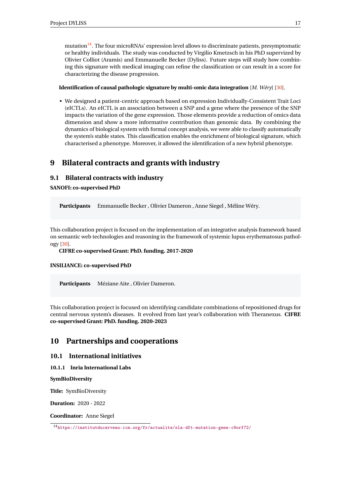mutation $14$ . The four microRNAs' expression level allows to discriminate patients, presymptomatic or healthy individuals. The study was conducted by Virgilio Kmetzsch in his PhD supervized by Olivier Colliot (Aramis) and Emmanuelle Becker (Dyliss). Future steps will study how combining this signature with medical imaging can refine the classification or can result in a score for characterizing the disease progression.

#### **Identification of causal pathologic signature by multi-omic data integration** [*M. Wéry*] [\[30\]](#page-31-2).

• We designed a patient-centric approach based on expression Individually-Consistent Trait Loci (eICTLs). An eICTL is an association between a SNP and a gene where the presence of the SNP impacts the variation of the gene expression. Those elements provide a reduction of omics data dimension and show a more informative contribution than genomic data. By combining the dynamics of biological system with formal concept analysis, we were able to classify automatically the system's stable states. This classification enables the enrichment of biological signature, which characterised a phenotype. Moreover, it allowed the identification of a new hybrid phenotype.

## <span id="page-19-0"></span>**9 Bilateral contracts and grants with industry**

#### <span id="page-19-1"></span>**9.1 Bilateral contracts with industry**

**SANOFI: co-supervised PhD**

**Participants** Emmanuelle Becker , Olivier Dameron , Anne Siegel , Méline Wéry.

This collaboration project is focused on the implementation of an integrative analysis framework based on semantic web technologies and reasoning in the framework of systemic lupus erythematosus pathology [\[30\]](#page-31-2).

**CIFRE co-supervised Grant: PhD. funding. 2017-2020**

#### **INSILIANCE: co-supervised PhD**

**Participants** Méziane Aite , Olivier Dameron.

This collaboration project is focused on identifying candidate combinations of repositioned drugs for central nervous system's diseases. It evolved from last year's collaboration with Theranexus. **CIFRE co-supervised Grant: PhD. funding. 2020-2023**

## <span id="page-19-2"></span>**10 Partnerships and cooperations**

#### <span id="page-19-3"></span>**10.1 International initiatives**

<span id="page-19-4"></span>**10.1.1 Inria International Labs**

#### **SymBioDiversity**

**Title:** SymBioDiversity

**Duration:** 2020 - 2022

**Coordinator:** Anne Siegel

<span id="page-19-5"></span> $^{\rm 14}$ <https://institutducerveau-icm.org/fr/actualite/sla-dft-mutation-gene-c9orf72/>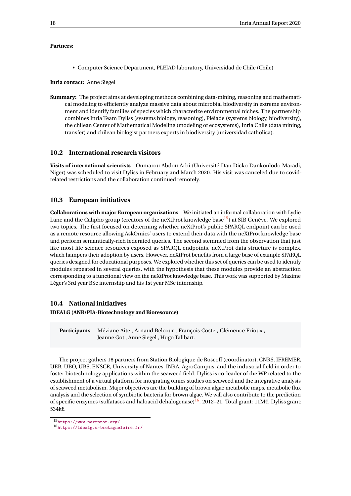#### **Partners:**

• Computer Science Department, PLEIAD laboratory, Universidad de Chile (Chile)

**Inria contact:** Anne Siegel

**Summary:** The project aims at developing methods combining data-mining, reasoning and mathematical modeling to efficiently analyze massive data about microbial biodiversity in extreme environment and identify families of species which characterize environmental niches. The partnership combines Inria Team Dyliss (systems biology, reasoning), Pléiade (systems biology, biodiversity), the chilean Center of Mathematical Modeling (modeling of ecosystems), Inria Chile (data mining, transfer) and chilean biologist partners experts in biodiversity (universidad catholica).

#### <span id="page-20-0"></span>**10.2 International research visitors**

**Visits of international scientists** Oumarou Abdou Arbi (Université Dan Dicko Dankoulodo Maradi, Niger) was scheduled to visit Dyliss in February and March 2020. His visit was canceled due to covidrelated restrictions and the collaboration continued remotely.

#### <span id="page-20-1"></span>**10.3 European initiatives**

**Collaborations with major European organizations** We initiated an informal collaboration with Lydie Lane and the Calipho group (creators of the neXtProt knowledge base<sup>[15](#page-20-3)</sup>) at SIB Genève. We explored two topics. The first focused on determing whether neXtProt's public SPARQL endpoint can be used as a remote resource allowing AskOmics' users to extend their data with the neXtProt knowledge base and perform semantically-rich federated queries. The second stemmed from the observation that just like most life science resources exposed as SPARQL endpoints, neXtProt data structure is complex, which hampers their adoption by users. However, neXtProt benefits from a large base of example SPARQL queries designed for educational purposes. We explored whether this set of queries can be used to identify modules repeated in several queries, with the hypothesis that these modules provide an abstraction corresponding to a functional view on the neXtProt knowledge base. This work was supported by Maxime Léger's 3rd year BSc internship and his 1st year MSc internship.

#### <span id="page-20-2"></span>**10.4 National initiatives**

#### **IDEALG (ANR/PIA-Biotechnology and Bioresource)**

**Participants** Méziane Aite , Arnaud Belcour , François Coste , Clémence Frioux , Jeanne Got , Anne Siegel , Hugo Talibart.

The project gathers 18 partners from Station Biologique de Roscoff (coordinator), CNRS, IFREMER, UEB, UBO, UBS, ENSCR, University of Nantes, INRA, AgroCampus, and the industrial field in order to foster biotechnology applications within the seaweed field. Dyliss is co-leader of the WP related to the establishment of a virtual platform for integrating omics studies on seaweed and the integrative analysis of seaweed metabolism. Major objectives are the building of brown algae metabolic maps, metabolic flux analysis and the selection of symbiotic bacteria for brown algae. We will also contribute to the prediction of specific enzymes (sulfatases and haloacid dehalogenase)<sup>[16](#page-20-4)</sup>. 2012–21. Total grant: 11M€. Dyliss grant: 534k€.

<span id="page-20-3"></span><sup>15</sup><https://www.nextprot.org/>

<span id="page-20-4"></span><sup>16</sup><https://idealg.u-bretagneloire.fr/>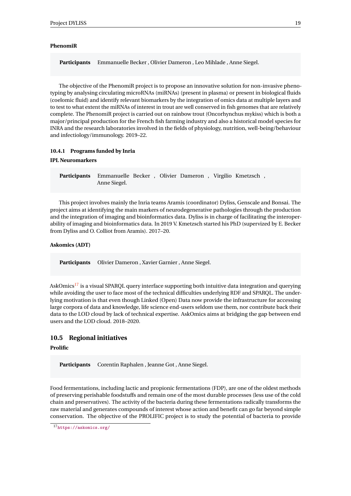#### **PhenomiR**

**Participants** Emmanuelle Becker , Olivier Dameron , Leo Mihlade , Anne Siegel.

The objective of the PhenomiR project is to propose an innovative solution for non-invasive phenotyping by analysing circulating microRNAs (miRNAs) (present in plasma) or present in biological fluids (coelomic fluid) and identify relevant biomarkers by the integration of omics data at multiple layers and to test to what extent the miRNAs of interest in trout are well conserved in fish genomes that are relatively complete. The PhenomiR project is carried out on rainbow trout (Oncorhynchus mykiss) which is both a major/principal production for the French fish farming industry and also a historical model species for INRA and the research laboratories involved in the fields of physiology, nutrition, well-being/behaviour and infectiology/immunology. 2019–22.

#### <span id="page-21-0"></span>**10.4.1 Programs funded by Inria**

#### **IPL Neuromarkers**

**Participants** Emmanuelle Becker , Olivier Dameron , Virgilio Kmetzsch , Anne Siegel.

This project involves mainly the Inria teams Aramis (coordinator) Dyliss, Genscale and Bonsai. The project aims at identifying the main markers of neurodegenerative pathologies through the production and the integration of imaging and bioinformatics data. Dyliss is in charge of facilitating the interoperability of imaging and bioinformatics data. In 2019 V. Kmetzsch started his PhD (supervized by E. Becker from Dyliss and O. Colliot from Aramis). 2017–20.

#### **Askomics (ADT)**

**Participants** Olivier Dameron , Xavier Garnier , Anne Siegel.

AskOmics<sup>[17](#page-21-2)</sup> is a visual SPARQL query interface supporting both intuitive data integration and querying while avoiding the user to face most of the technical difficulties underlying RDF and SPARQL. The underlying motivation is that even though Linked (Open) Data now provide the infrastructure for accessing large corpora of data and knowledge, life science end-users seldom use them, nor contribute back their data to the LOD cloud by lack of technical expertise. AskOmics aims at bridging the gap between end users and the LOD cloud. 2018–2020.

#### <span id="page-21-1"></span>**10.5 Regional initiatives**

#### **Prolific**

**Participants** Corentin Raphalen , Jeanne Got , Anne Siegel.

Food fermentations, including lactic and propionic fermentations (FDP), are one of the oldest methods of preserving perishable foodstuffs and remain one of the most durable processes (less use of the cold chain and preservatives). The activity of the bacteria during these fermentations radically transforms the raw material and generates compounds of interest whose action and benefit can go far beyond simple conservation. The objective of the PROLIFIC project is to study the potential of bacteria to provide

<span id="page-21-2"></span><sup>17</sup><https://askomics.org/>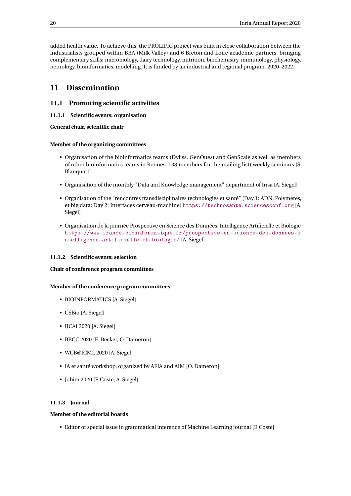added health value. To achieve this, the PROLIFIC project was built in close collaboration between the industrialists grouped within BBA (Milk Valley) and 6 Breton and Loire academic partners, bringing complementary skills: microbiology, dairy technology, nutrition, biochemistry, immunology, physiology, neurology, bioinformatics, modelling. It is funded by an industrial and regional program. 2020–2022.

## <span id="page-22-0"></span>**11 Dissemination**

## <span id="page-22-1"></span>**11.1 Promoting scientific activities**

#### <span id="page-22-2"></span>**11.1.1 Scientific events: organisation**

**General chair, scientific chair**

#### **Member of the organizing committees**

- Organisation of the bioinformatics teams (Dyliss, GenOuest and GenScale as well as members of other bioinformatics teams in Rennes; 138 members for the mailing list) weekly seminars [S. Blanquart]
- Organisation of the monthly "Data and Knowledge management" department of Irisa [A. Siegel]
- Organisation of the "rencontres transdisciplinaires technologies et santé" (Day 1: ADN, Polymeres, et big data; Day 2: Interfaces cerveau-machine) <https://technosante.sciencesconf.org> [A. Siegel]
- Organisation de la journée Prospective en Science des Données, Intelligence Artificielle et Biologie [https://www.france-bioinformatique.fr/prospective-en-science-des-donnees-i](https://www.france-bioinformatique.fr/prospective-en-science-des-donnees-intelligence-artificielle-et-biologie/) [ntelligence-artificielle-et-biologie/](https://www.france-bioinformatique.fr/prospective-en-science-des-donnees-intelligence-artificielle-et-biologie/) [A. Siegel]

#### <span id="page-22-3"></span>**11.1.2 Scientific events: selection**

#### **Chair of conference program committees**

#### **Member of the conference program committees**

- BIOINFORMATICS [A. Siegel]
- CSBio [A. Siegel]
- IJCAI 2020 [A. Siegel]
- BBCC 2020 [E. Becker, O. Dameron]
- WCB@ICML 2020 [A. Siegel]
- IA et santé workshop, organized by AFIA and AIM [O. Dameron]
- Jobim 2020 [F. Coste, A. Siegel]

## <span id="page-22-4"></span>**11.1.3 Journal**

## **Member of the editorial boards**

• Editor of special issue in grammatical inference of Machine Learning journal [F. Coste]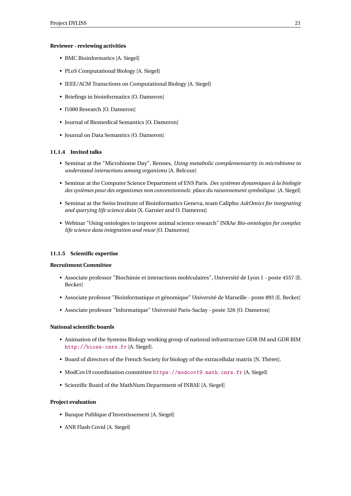#### **Reviewer - reviewing activities**

- BMC Bioinformatics [A. Siegel]
- PLoS Computational Biology [A. Siegel]
- IEEE/ACM Transctions on Computational Biology [A. Siegel]
- Briefings in bioinformatics [O. Dameron]
- f1000 Research [O. Dameron]
- Journal of Biomedical Semantics [O. Dameron]
- Journal on Data Semantics [O. Dameron]

#### <span id="page-23-0"></span>**11.1.4 Invited talks**

- Seminar at the "Microbiome Day", Rennes, *Using metabolic complementarity in microbiome to understand interactions among organisms* [A. Belcour]
- Seminar at the Computer Science Department of ENS Paris. *Des systèmes dynamiques à la biologie des systèmes pour des organismes non conventionnels: place du raisonnement symbolique.* [A. Siegel]
- Seminar at the Swiss Institute of Bioinformatics Geneva, team Calipho *AskOmics for integrating and querying life science data* [X. Garnier and O. Dameron]
- Webinar "Using ontologies to improve animal science research" INRAe *Bio-ontologies for complex life science data integration and reuse* [O. Dameron]

#### <span id="page-23-1"></span>**11.1.5 Scientific expertise**

#### **Recruitment Committee**

- Associate professor "Biochimie et interactions moléculaires", Université de Lyon 1 poste 4557 [E. Becker]
- Associate professor "Bioinformatique et génomique" Université de Marseille poste 893 [E. Becker]
- Associate professor "Informatique" Université Paris-Saclay poste 326 [O. Dameron]

#### **National scientific boards**

- Animation of the Systems Biology working group of national infrastructure GDR IM and GDR BIM <http://bioss-cnrs.fr> [A. Siegel].
- Board of directors of the French Society for biology of the extracellular matrix [N. Théret].
- ModCov19 coordination committee <https://modcov19.math.cnrs.fr> [A. Siegel]
- Scientific Board of the MathNum Department of INRAE [A. Siegel]

#### **Project evaluation**

- Banque Publique d'Investissement [A. Siegel]
- ANR Flash Covid [A. Siegel]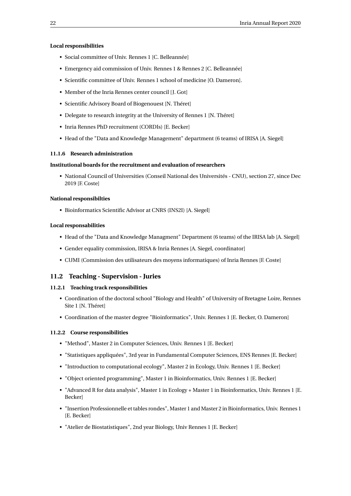#### **Local responsibilities**

- Social committee of Univ. Rennes 1 [C. Belleannée]
- Emergency aid commission of Univ. Rennes 1 & Rennes 2 [C. Belleannée]
- Scientific committee of Univ. Rennes 1 school of medicine [O. Dameron].
- Member of the Inria Rennes center council [J. Got]
- Scientific Advisory Board of Biogenouest [N. Théret]
- Delegate to research integrity at the University of Rennes 1 [N. Théret]
- Inria Rennes PhD recruitment (CORDIs) [E. Becker]
- Head of the "Data and Knowledge Management" department (6 teams) of IRISA [A. Siegel]

#### <span id="page-24-0"></span>**11.1.6 Research administration**

#### **Institutional boards for the recruitment and evaluation of researchers**

• National Council of Universities (Conseil National des Universités - CNU), section 27, since Dec 2019 [F. Coste]

#### **National responsibilties**

• Bioinformatics Scientific Advisor at CNRS (INS2I) [A. Siegel]

#### **Local responsabilities**

- Head of the "Data and Knowledge Managment" Department (6 teams) of the IRISA lab [A. Siegel]
- Gender equality commission, IRISA & Inria Rennes [A. Siegel, coordinator]
- CUMI (Commission des utilisateurs des moyens informatiques) of Inria Rennes [F. Coste]

#### <span id="page-24-1"></span>**11.2 Teaching - Supervision - Juries**

#### <span id="page-24-2"></span>**11.2.1 Teaching track responsibilities**

- Coordination of the doctoral school "Biology and Health" of University of Bretagne Loire, Rennes Site 1 [N. Théret]
- Coordination of the master degree "Bioinformatics", Univ. Rennes 1 [E. Becker, O. Dameron]

#### <span id="page-24-3"></span>**11.2.2 Course responsibilities**

- "Method", Master 2 in Computer Sciences, Univ. Rennes 1 [E. Becker]
- "Statistiques appliquées", 3rd year in Fundamental Computer Sciences, ENS Rennes [E. Becker]
- "Introduction to computational ecology", Master 2 in Ecology, Univ. Rennes 1 [E. Becker]
- "Object oriented programming", Master 1 in Bioinformatics, Univ. Rennes 1 [E. Becker]
- "Advanced R for data analysis", Master 1 in Ecology + Master 1 in Bioinformatics, Univ. Rennes 1 [E. Becker]
- "Insertion Professionnelle et tables rondes", Master 1 and Master 2 in Bioinformatics, Univ. Rennes 1 [E. Becker]
- "Atelier de Biostatistiques", 2nd year Biology, Univ Rennes 1 [E. Becker]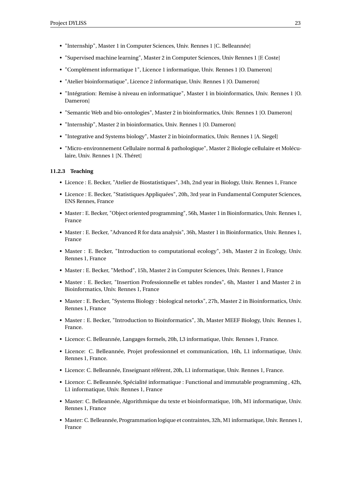- "Internship", Master 1 in Computer Sciences, Univ. Rennes 1 [C. Belleannée]
- "Supervised machine learning", Master 2 in Computer Sciences, Univ Rennes 1 [F. Coste]
- "Complément informatique 1", Licence 1 informatique, Univ. Rennes 1 [O. Dameron]
- "Atelier bioinformatique", Licence 2 informatique, Univ. Rennes 1 [O. Dameron]
- "Intégration: Remise à niveau en informatique", Master 1 in bioinformatics, Univ. Rennes 1 [O. Dameron]
- "Semantic Web and bio-ontologies", Master 2 in bioinformatics, Univ. Rennes 1 [O. Dameron]
- "Internship", Master 2 in bioinformatics, Univ. Rennes 1 [O. Dameron]
- "Integrative and Systems biology", Master 2 in bioinformatics, Univ. Rennes 1 [A. Siegel]
- "Micro-environnement Cellulaire normal & pathologique", Master 2 Biologie cellulaire et Moléculaire, Univ. Rennes 1 [N. Théret]

#### <span id="page-25-0"></span>**11.2.3 Teaching**

- Licence : E. Becker, "Atelier de Biostatistiques", 34h, 2nd year in Biology, Univ. Rennes 1, France
- Licence : E. Becker, "Statistiques Appliquées", 20h, 3rd year in Fundamental Computer Sciences, ENS Rennes, France
- Master : E. Becker, "Object oriented programming", 56h, Master 1 in Bioinformatics, Univ. Rennes 1, France
- Master : E. Becker, "Advanced R for data analysis", 36h, Master 1 in Bioinformatics, Univ. Rennes 1, France
- Master : E. Becker, "Introduction to computational ecology", 34h, Master 2 in Ecology, Univ. Rennes 1, France
- Master : E. Becker, "Method", 15h, Master 2 in Computer Sciences, Univ. Rennes 1, France
- Master : E. Becker, "Insertion Professionnelle et tables rondes", 6h, Master 1 and Master 2 in Bioinformatics, Univ. Rennes 1, France
- Master : E. Becker, "Systems Biology : biological netorks", 27h, Master 2 in Bioinformatics, Univ. Rennes 1, France
- Master : E. Becker, "Introduction to Bioinformatics", 3h, Master MEEF Biology, Univ. Rennes 1, France.
- Licence: C. Belleannée, Langages formels, 20h, L3 informatique, Univ. Rennes 1, France.
- Licence: C. Belleannée, Projet professionnel et communication, 16h, L1 informatique, Univ. Rennes 1, France.
- Licence: C. Belleannée, Enseignant référent, 20h, L1 informatique, Univ. Rennes 1, France.
- Licence: C. Belleannée, Spécialité informatique : Functional and immutable programming , 42h, L1 informatique, Univ. Rennes 1, France
- Master: C. Belleannée, Algorithmique du texte et bioinformatique, 10h, M1 informatique, Univ. Rennes 1, France
- Master: C. Belleannée, Programmation logique et contraintes, 32h, M1 informatique, Univ. Rennes 1, France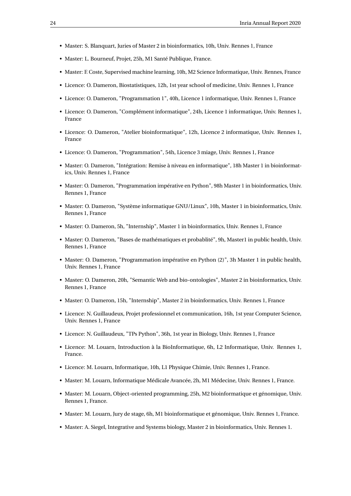- Master: S. Blanquart, Juries of Master 2 in bioinformatics, 10h, Univ. Rennes 1, France
- Master: L. Bourneuf, Projet, 25h, M1 Santé Publique, France.
- Master: F. Coste, Supervised machine learning, 10h, M2 Science Informatique, Univ. Rennes, France
- Licence: O. Dameron, Biostatistiques, 12h, 1st year school of medicine, Univ. Rennes 1, France
- Licence: O. Dameron, "Programmation 1", 40h, Licence 1 informatique, Univ. Rennes 1, France
- Licence: O. Dameron, "Complément informatique", 24h, Licence 1 informatique, Univ. Rennes 1, France
- Licence: O. Dameron, "Atelier bioinformatique", 12h, Licence 2 informatique, Univ. Rennes 1, France
- Licence: O. Dameron, "Programmation", 54h, Licence 3 miage, Univ. Rennes 1, France
- Master: O. Dameron, "Intégration: Remise à niveau en informatique", 18h Master 1 in bioinformatics, Univ. Rennes 1, France
- Master: O. Dameron, "Programmation impérative en Python", 98h Master 1 in bioinformatics, Univ. Rennes 1, France
- Master: O. Dameron, "Système informatique GNU/Linux", 10h, Master 1 in bioinformatics, Univ. Rennes 1, France
- Master: O. Dameron, 5h, "Internship", Master 1 in bioinformatics, Univ. Rennes 1, France
- Master: O. Dameron, "Bases de mathématiques et probablité", 9h, Master1 in public health, Univ. Rennes 1, France
- Master: O. Dameron, "Programmation impérative en Python (2)", 3h Master 1 in public health, Univ. Rennes 1, France
- Master: O. Dameron, 20h, "Semantic Web and bio-ontologies", Master 2 in bioinformatics, Univ. Rennes 1, France
- Master: O. Dameron, 15h, "Internship", Master 2 in bioinformatics, Univ. Rennes 1, France
- Licence: N. Guillaudeux, Projet professionnel et communication, 16h, 1st year Computer Science, Univ. Rennes 1, France
- Licence: N. Guillaudeux, "TPs Python", 36h, 1st year in Biology, Univ. Rennes 1, France
- Licence: M. Louarn, Introduction à la BioInformatique, 6h, L2 Informatique, Univ. Rennes 1, France.
- Licence: M. Louarn, Informatique, 10h, L1 Physique Chimie, Univ. Rennes 1, France.
- Master: M. Louarn, Informatique Médicale Avancée, 2h, M1 Médecine, Univ. Rennes 1, France.
- Master: M. Louarn, Object-oriented programming, 25h, M2 bioinformatique et génomique, Univ. Rennes 1, France.
- Master: M. Louarn, Jury de stage, 6h, M1 bioinformatique et génomique, Univ. Rennes 1, France.
- Master: A. Siegel, Integrative and Systems biology, Master 2 in bioinformatics, Univ. Rennes 1.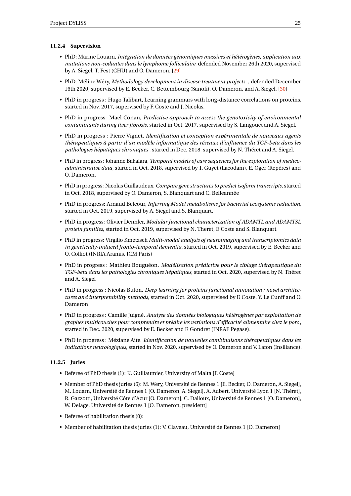#### <span id="page-27-0"></span>**11.2.4 Supervision**

- PhD: Marine Louarn, *Intégration de données génomiques massives et hétérogènes, application aux mutations non-codantes dans le lymphome folliculaire*, defended November 26th 2020, supervised by A. Siegel, T. Fest (CHU) and O. Dameron. [\[29\]](#page-31-1)
- PhD: Méline Wéry, *Methodology development in disease treatment projects.* , defended December 16th 2020, supervised by E. Becker, C. Bettembourg (Sanofi), O. Dameron, and A. Siegel. [\[30\]](#page-31-2)
- PhD in progress : Hugo Talibart, Learning grammars with long-distance correlations on proteins, started in Nov. 2017, supervised by F. Coste and J. Nicolas.
- PhD in progress: Mael Conan, *Predictive approach to assess the genotoxicity of environmental contaminants during liver fibrosis*, started in Oct. 2017, supervised by S. Langouet and A. Siegel.
- PhD in progress : Pierre Vignet, *Identification et conception expérimentale de nouveaux agents thérapeutiques à partir d'un modèle informatique des réseaux d'influence du TGF-beta dans les pathologies hépatiques chroniques* , started in Dec. 2018, supervised by N. Théret and A. Siegel.
- PhD in progress: Johanne Bakalara, *Temporal models of care sequences for the exploration of medicoadministrative data*, started in Oct. 2018, supervised by T. Guyet (Lacodam), E. Oger (Repères) and O. Dameron.
- PhD in progress: Nicolas Guillaudeux, *Compare gene structures to predict isoform transcripts*, started in Oct. 2018, supervised by O. Dameron, S. Blanquart and C. Belleannée
- PhD in progress: Arnaud Belcour, *Inferring Model metabolisms for bacterial ecosystems reduction*, started in Oct. 2019, supervised by A. Siegel and S. Blanquart.
- PhD in progress: Olivier Dennler, *Modular functional characterization of ADAMTL and ADAMTSL protein families*, started in Oct. 2019, supervised by N. Theret, F. Coste and S. Blanquart.
- PhD in progress: Virgilio Kmetzsch *Multi-modal analysis of neuroimaging and transcriptomics data in genetically-induced fronto-temporal dementia*, started in Oct. 2019, supervised by E. Becker and O. Colliot (INRIA Aramis, ICM Paris)
- PhD in progress : Mathieu Bouguéon. *Modélisation prédictive pour le ciblage thérapeutique du TGF-beta dans les pathologies chroniques hépatiques*, started in Oct. 2020, supervised by N. Théret and A. Siegel
- PhD in progress : Nicolas Buton. *Deep learning for proteins functional annotation : novel architectures and interpretability methods*, started in Oct. 2020, supervised by F. Coste, Y. Le Cunff and O. Dameron
- PhD in progress : Camille Juigné. *Analyse des données biologiques hétérogènes par exploitation de graphes multicouches pour comprendre et prédire les variations d'efficacité alimentaire chez le porc* , started in Dec. 2020, supervised by E. Becker and F. Gondret (INRAE Pegase).
- PhD in progress : Méziane Aite. *Identification de nouvelles combinaisons thérapeutiques dans les indications neurologiques*, started in Nov. 2020, supervised by O. Dameron and V. Lafon (Insiliance).

#### <span id="page-27-1"></span>**11.2.5 Juries**

- Referee of PhD thesis (1): K. Guillaumier, University of Malta [F. Coste]
- Member of PhD thesis juries (6): M. Wery, Université de Rennes 1 [E. Becker, O. Dameron, A. Siegel], M. Louarn, Université de Rennes 1 [O. Dameron, A. Siegel], A. Aubert, Université Lyon 1 [N. Théret], R. Gazzotti, Université Côte d'Azur [O. Dameron], C. Dalloux, Université de Rennes 1 [O. Dameron], W. Delage, Université de Rennes 1 [O. Dameron, president]
- Referee of habilitation thesis (0):
- Member of habilitation thesis juries (1): V. Claveau, Université de Rennes 1 [O. Dameron]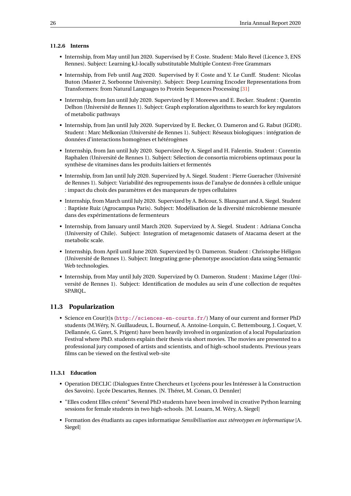#### <span id="page-28-0"></span>**11.2.6 Interns**

- Internship, from May until Jun 2020. Supervised by F. Coste. Student: Malo Revel (Licence 3, ENS Rennes). Subject: Learning k,l-locally substitutable Multiple Context-Free Grammars
- Internship, from Feb until Aug 2020. Supervised by F. Coste and Y. Le Cunff. Student: Nicolas Buton (Master 2, Sorbonne University). Subject: Deep Learning Encoder Representations from Transformers: from Natural Languages to Protein Sequences Processing [\[31\]](#page-32-12)
- Internship, from Jan until July 2020. Supervized by F. Moreews and E. Becker. Student : Quentin Delhon (Université de Rennes 1). Subject: Graph exploration algorithms to search for key regulators of metabolic pathways
- Internship, from Jan until July 2020. Supervized by E. Becker, O. Dameron and G. Rabut (IGDR). Student : Marc Melkonian (Université de Rennes 1). Subject: Réseaux biologiques : intégration de données d'interactions homogènes et hétérogènes
- Internship, from Jan until July 2020. Supervized by A. Siegel and H. Falentin. Student : Corentin Raphalen (Université de Rennes 1). Subject: Sélection de consortia microbiens optimaux pour la synthèse de vitamines dans les produits laitiers et fermentés
- Internship, from Jan until July 2020. Supervized by A. Siegel. Student : Pierre Gueracher (Université de Rennes 1). Subject: Variabilité des regroupements issus de l'analyse de données à cellule unique : impact du choix des paramètres et des marqueurs de types cellulaires
- Internship, from March until July 2020. Supervized by A. Belcour, S. Blanquart and A. Siegel. Student : Baptiste Ruiz (Agrocampus Paris). Subject: Modélisation de la diversité microbienne mesurée dans des expérimentations de fermenteurs
- Internship, from January until March 2020. Supervized by A. Siegel. Student : Adriana Concha (University of Chile). Subject: Integration of metagenomic datasets of Atacama desert at the metabolic scale.
- Internship, from April until June 2020. Supervized by O. Dameron. Student : Christophe Héligon (Université de Rennes 1). Subject: Integrating gene-phenotype association data using Semantic Web technologies.
- Internship, from May until July 2020. Supervized by O. Dameron. Student : Maxime Léger (Université de Rennes 1). Subject: Identification de modules au sein d'une collection de requêtes SPARQL.

#### <span id="page-28-1"></span>**11.3 Popularization**

• Science en Cour[t]s (<http://sciences-en-courts.fr/>) Many of our current and former PhD students (M.Wéry, N. Guillaudeux, L. Bourneuf, A. Antoine-Lorquin, C. Bettembourg, J. Coquet, V. Dellannée, G. Garet, S. Prigent) have been heavily involved in organization of a local Popularization Festival where PhD. students explain their thesis via short movies. The movies are presented to a professional jury composed of artists and scientists, and of high-school students. Previous years films can be viewed on the festival web-site

#### <span id="page-28-2"></span>**11.3.1 Education**

- Operation DECLIC (Dialogues Entre Chercheurs et Lycéens pour les Intéresser à la Construction des Savoirs). Lycée Descartes, Rennes. [N. Théret, M. Conan, O. Dennler]
- "Elles codent Elles créent" Several PhD students have been involved in creative Python learning sessions for female students in two high-schools. [M. Louarn, M. Wéry, A. Siegel]
- Formation des étudiants au capes informatique *Sensibilisation aux stéreotypes en informatique* [A. Siegel]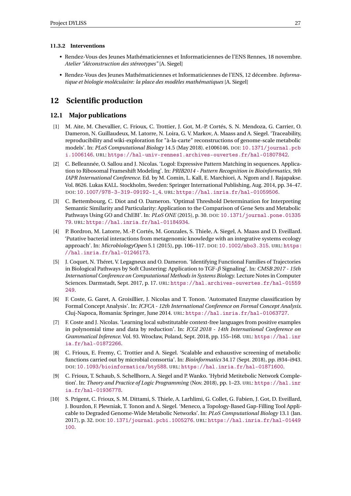#### <span id="page-29-0"></span>**11.3.2 Interventions**

- Rendez-Vous des Jeunes Mathématiciennes et Informaticiennes de l'ENS Rennes, 18 novembre. *Atelier "déconstruction des stéreotypes"* [A. Siegel]
- Rendez-Vous des Jeunes Mathématiciennes et Informaticiennes de l'ENS, 12 décembre. *Informatique et biologie moléculaire: la place des modèles mathématiques* [A. Siegel]

## <span id="page-29-1"></span>**12 Scientific production**

#### <span id="page-29-2"></span>**12.1 Major publications**

- <span id="page-29-6"></span>[1] M. Aite, M. Chevallier, C. Frioux, C. Trottier, J. Got, M.-P. Cortés, S. N. Mendoza, G. Carrier, O. Dameron, N. Guillaudeux, M. Latorre, N. Loira, G. V. Markov, A. Maass and A. Siegel. 'Traceability, reproducibility and wiki-exploration for "à-la-carte" reconstructions of genome-scale metabolic models'. In: *PLoS Computational Biology* 14.5 (May 2018). e1006146. DOI: [10.1371/journal.pcb](https://doi.org/10.1371/journal.pcbi.1006146) [i.1006146](https://doi.org/10.1371/journal.pcbi.1006146). URL: <https://hal-univ-rennes1.archives-ouvertes.fr/hal-01807842>.
- <span id="page-29-8"></span>[2] C. Belleannée, O. Sallou and J. Nicolas. 'Logol: Expressive Pattern Matching in sequences. Application to Ribosomal Frameshift Modeling'. In: *PRIB2014 - Pattern Recognition in Bioinformatics, 9th IAPR International Conference*. Ed. by M. Comin, L. Kall, E. Marchiori, A. Ngom and J. Rajapakse. Vol. 8626. Lukas KALL. Stockholm, Sweden: Springer International Publishing, Aug. 2014, pp. 34–47. DOI: [10.1007/978-3-319-09192-1\\_4](https://doi.org/10.1007/978-3-319-09192-1_4). URL: <https://hal.inria.fr/hal-01059506>.
- [3] C. Bettembourg, C. Diot and O. Dameron. 'Optimal Threshold Determination for Interpreting Semantic Similarity and Particularity: Application to the Comparison of Gene Sets and Metabolic Pathways Using GO and ChEBI'. In: *PLoS ONE* (2015), p. 30. DOI: [10.1371/journal.pone.01335](https://doi.org/10.1371/journal.pone.0133579) [79](https://doi.org/10.1371/journal.pone.0133579). URL: <https://hal.inria.fr/hal-01184934>.
- <span id="page-29-7"></span>[4] P. Bordron, M. Latorre, M.-P. Cortés, M. Gonzales, S. Thiele, A. Siegel, A. Maass and D. Eveillard. 'Putative bacterial interactions from metagenomic knowledge with an integrative systems ecology approach'. In: *MicrobiologyOpen* 5.1 (2015), pp. 106–117. DOI: [10.1002/mbo3.315](https://doi.org/10.1002/mbo3.315). URL: [https:](https://hal.inria.fr/hal-01246173) [//hal.inria.fr/hal-01246173](https://hal.inria.fr/hal-01246173).
- <span id="page-29-9"></span>[5] J. Coquet, N. Théret, V. Legagneux and O. Dameron. 'Identifying Functional Families of Trajectories in Biological Pathways by Soft Clustering: Application to TGF-*β* Signaling'. In: *CMSB 2017 - 15th International Conference on Computational Methods in Systems Biology*. Lecture Notes in Computer Sciences. Darmstadt, Sept. 2017, p. 17. URL: [https://hal.archives-ouvertes.fr/hal-01559](https://hal.archives-ouvertes.fr/hal-01559249) [249](https://hal.archives-ouvertes.fr/hal-01559249).
- <span id="page-29-3"></span>[6] F. Coste, G. Garet, A. Groisillier, J. Nicolas and T. Tonon. 'Automated Enzyme classification by Formal Concept Analysis'. In: *ICFCA - 12th International Conference on Formal Concept Analysis*. Cluj-Napoca, Romania: Springer, June 2014. URL: <https://hal.inria.fr/hal-01063727>.
- [7] F. Coste and J. Nicolas. 'Learning local substitutable context-free languages from positive examples in polynomial time and data by reduction'. In: *ICGI 2018 - 14th International Conference on Grammatical Inference*. Vol. 93. Wrocław, Poland, Sept. 2018, pp. 155–168. URL: [https://hal.inr](https://hal.inria.fr/hal-01872266) [ia.fr/hal-01872266](https://hal.inria.fr/hal-01872266).
- [8] C. Frioux, E. Fremy, C. Trottier and A. Siegel. 'Scalable and exhaustive screening of metabolic functions carried out by microbial consortia'. In: *Bioinformatics* 34.17 (Sept. 2018), pp. i934–i943. DOI: [10.1093/bioinformatics/bty588](https://doi.org/10.1093/bioinformatics/bty588). URL: <https://hal.inria.fr/hal-01871600>.
- <span id="page-29-5"></span>[9] C. Frioux, T. Schaub, S. Schellhorn, A. Siegel and P. Wanko. 'Hybrid Metitebolic Network Completion'. In: *Theory and Practice of Logic Programming* (Nov. 2018), pp. 1–23. URL: [https://hal.inr](https://hal.inria.fr/hal-01936778) [ia.fr/hal-01936778](https://hal.inria.fr/hal-01936778).
- <span id="page-29-4"></span>[10] S. Prigent, C. Frioux, S. M. Dittami, S. Thiele, A. Larhlimi, G. Collet, G. Fabien, J. Got, D. Eveillard, J. Bourdon, F. Plewniak, T. Tonon and A. Siegel. 'Meneco, a Topology-Based Gap-Filling Tool Applicable to Degraded Genome-Wide Metabolic Networks'. In: *PLoS Computational Biology* 13.1 (Jan. 2017), p. 32. DOI: [10.1371/journal.pcbi.1005276](https://doi.org/10.1371/journal.pcbi.1005276). URL: [https://hal.inria.fr/hal-01449](https://hal.inria.fr/hal-01449100) [100](https://hal.inria.fr/hal-01449100).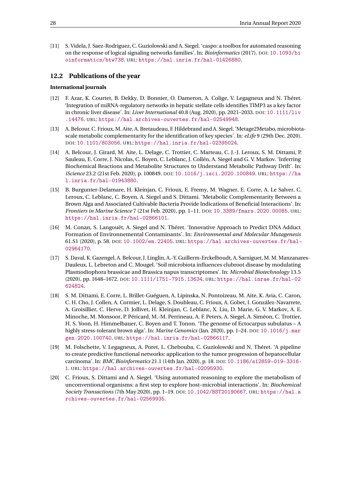<span id="page-30-1"></span>[11] S. Videla, J. Saez-Rodriguez, C. Guziolowski and A. Siegel. 'caspo: a toolbox for automated reasoning on the response of logical signaling networks families'. In: *Bioinformatics* (2017). DOI: [10.1093/bi](https://doi.org/10.1093/bioinformatics/btw738) [oinformatics/btw738](https://doi.org/10.1093/bioinformatics/btw738). URL: <https://hal.inria.fr/hal-01426880>.

#### <span id="page-30-0"></span>**12.2 Publications of the year**

#### **International journals**

- <span id="page-30-10"></span>[12] F. Azar, K. Courtet, B. Dekky, D. Bonnier, O. Dameron, A. Colige, V. Legagneux and N. Théret. 'Integration of miRNA-regulatory networks in hepatic stellate cells identifies TIMP3 as a key factor in chronic liver disease'. In: *Liver International* 40.8 (Aug. 2020), pp. 2021–2033. DOI: [10.1111/liv](https://doi.org/10.1111/liv.14476) [.14476](https://doi.org/10.1111/liv.14476). URL: <https://hal.archives-ouvertes.fr/hal-02549948>.
- <span id="page-30-6"></span>[13] A. Belcour, C. Frioux, M. Aite, A. Bretaudeau, F. Hildebrand and A. Siegel. 'Metage2Metabo, microbiotascale metabolic complementarity for the identification of key species'. In: *eLife* 9 (29th Dec. 2020). DOI: [10.1101/803056](https://doi.org/10.1101/803056). URL: <https://hal.inria.fr/hal-02395024>.
- <span id="page-30-3"></span>[14] A. Belcour, J. Girard, M. Aite, L. Delage, C. Trottier, C. Marteau, C. J.-J. Leroux, S. M. Dittami, P. Sauleau, E. Corre, J. Nicolas, C. Boyen, C. Leblanc, J. Collén, A. Siegel and G. V. Markov. 'Inferring Biochemical Reactions and Metabolite Structures to Understand Metabolic Pathway Drift'. In: *iScience* 23.2 (21st Feb. 2020), p. 100849. DOI: [10.1016/j.isci.2020.100849](https://doi.org/10.1016/j.isci.2020.100849). URL: [https://ha](https://hal.inria.fr/hal-01943880) [l.inria.fr/hal-01943880](https://hal.inria.fr/hal-01943880).
- <span id="page-30-7"></span>[15] B. Burgunter-Delamare, H. Kleinjan, C. Frioux, E. Fremy, M. Wagner, E. Corre, A. Le Salver, C. Leroux, C. Leblanc, C. Boyen, A. Siegel and S. Dittami. 'Metabolic Complementarity Between a Brown Alga and Associated Cultivable Bacteria Provide Indications of Beneficial Interactions'. In: *Frontiers in Marine Science* 7 (21st Feb. 2020), pp. 1–11. DOI: [10.3389/fmars.2020.00085](https://doi.org/10.3389/fmars.2020.00085). URL: <https://hal.inria.fr/hal-02866101>.
- <span id="page-30-4"></span>[16] M. Conan, S. Langouët, A. Siegel and N. Théret. 'Innovative Approach to Predict DNA Adduct Formation of Environnemental Contaminants'. In: *Environmental and Molecular Mutagenesis* 61.S1 (2020), p. 58. DOI: [10.1002/em.22405](https://doi.org/10.1002/em.22405). URL: [https://hal.archives-ouvertes.fr/hal-](https://hal.archives-ouvertes.fr/hal-02964170)[02964170](https://hal.archives-ouvertes.fr/hal-02964170).
- <span id="page-30-8"></span>[17] S. Daval, K. Gazengel, A. Belcour, J. Linglin, A.-Y. Guillerm-Erckelboudt, A. Sarniguet, M. M. Manzanares-Dauleux, L. Lebreton and C. Mougel. 'Soil microbiota influences clubroot disease by modulating Plasmodiophora brassicae and Brassica napus transcriptomes'. In: *Microbial Biotechnology* 13.5 (2020), pp. 1648–1672. DOI: [10.1111/1751-7915.13634](https://doi.org/10.1111/1751-7915.13634). URL: [https://hal.inrae.fr/hal-02](https://hal.inrae.fr/hal-02624824) [624824](https://hal.inrae.fr/hal-02624824).
- <span id="page-30-2"></span>[18] S. M. Dittami, E. Corre, L. Brillet-Guéguen, A. Lipinska, N. Pontoizeau, M. Aite, K. Avia, C. Caron, C. H. Cho, J. Collen, A. Cormier, L. Delage, S. Doubleau, C. Frioux, A. Gobet, I. González-Navarrete, A. Groisillier, C. Herve, D. Jollivet, H. Kleinjan, C. Leblanc, X. Liu, D. Marie, G. V. Markov, A. E. Minoche, M. Monsoor, P. Péricard, M.-M. Perrineau, A. F. Peters, A. Siegel, A. Siméon, C. Trottier, H. S. Yoon, H. Himmelbauer, C. Boyen and T. Tonon. 'The genome of Ectocarpus subulatus – A highly stress-tolerant brown alga'. In: *Marine Genomics* (Jan. 2020), pp. 1–24. DOI: [10.1016/j.mar](https://doi.org/10.1016/j.margen.2020.100740) [gen.2020.100740](https://doi.org/10.1016/j.margen.2020.100740). URL: <https://hal.inria.fr/hal-02866117>.
- <span id="page-30-9"></span>[19] M. Folschette, V. Legagneux, A. Poret, L. Chebouba, C. Guziolowski and N. Théret. 'A pipeline to create predictive functional networks: application to the tumor progression of hepatocellular carcinoma'. In: *BMC Bioinformatics* 21.1 (14th Jan. 2020), p. 18. DOI: [10.1186/s12859-019-3316-](https://doi.org/10.1186/s12859-019-3316-1) [1](https://doi.org/10.1186/s12859-019-3316-1). URL: <https://hal.archives-ouvertes.fr/hal-02095930>.
- <span id="page-30-5"></span>[20] C. Frioux, S. Dittami and A. Siegel. 'Using automated reasoning to explore the metabolism of unconventional organisms: a first step to explore host–microbial interactions'. In: *Biochemical Society Transactions* (7th May 2020), pp. 1–19. DOI: [10.1042/BST20190667](https://doi.org/10.1042/BST20190667). URL: [https://hal.a](https://hal.archives-ouvertes.fr/hal-02569935) [rchives-ouvertes.fr/hal-02569935](https://hal.archives-ouvertes.fr/hal-02569935).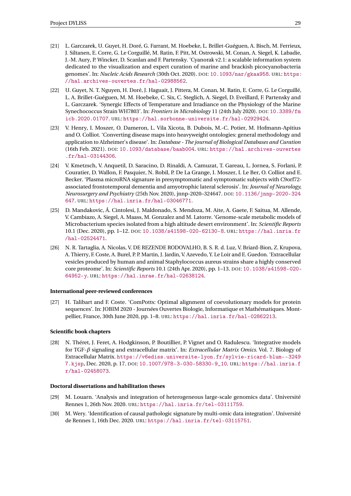- <span id="page-31-6"></span>[21] L. Garczarek, U. Guyet, H. Doré, G. Farrant, M. Hoebeke, L. Brillet-Guéguen, A. Bisch, M. Ferrieux, J. Siltanen, E. Corre, G. Le Corguillé, M. Ratin, F. Pitt, M. Ostrowski, M. Conan, A. Siegel, K. Labadie, J.-M. Aury, P. Wincker, D. Scanlan and F. Partensky. 'Cyanorak v2.1: a scalable information system dedicated to the visualization and expert curation of marine and brackish picocyanobacteria genomes'. In: *Nucleic Acids Research* (30th Oct. 2020). DOI: [10.1093/nar/gkaa958](https://doi.org/10.1093/nar/gkaa958). URL: [https:](https://hal.archives-ouvertes.fr/hal-02988562) [//hal.archives-ouvertes.fr/hal-02988562](https://hal.archives-ouvertes.fr/hal-02988562).
- <span id="page-31-7"></span>[22] U. Guyet, N. T. Nguyen, H. Doré, J. Haguait, J. Pittera, M. Conan, M. Ratin, E. Corre, G. Le Corguillé, L. A. Brillet-Guéguen, M. M. Hoebeke, C. Six, C. Steglich, A. Siegel, D. Eveillard, F. Partensky and L. Garczarek. 'Synergic Effects of Temperature and Irradiance on the Physiology of the Marine Synechococcus Strain WH7803'. In: *Frontiers in Microbiology* 11 (24th July 2020). DOI: [10.3389/fm](https://doi.org/10.3389/fmicb.2020.01707) [icb.2020.01707](https://doi.org/10.3389/fmicb.2020.01707). URL: <https://hal.sorbonne-universite.fr/hal-02929424>.
- <span id="page-31-3"></span>[23] V. Henry, I. Moszer, O. Dameron, L. Vila Xicota, B. Dubois, M.-C. Potier, M. Hofmann-Apitius and O. Colliot. 'Converting disease maps into heavyweight ontologies: general methodology and application to Alzheimer's disease'. In: *Database - The journal of Biological Databases and Curation* (16th Feb. 2021). DOI: [10.1093/database/baab004](https://doi.org/10.1093/database/baab004). URL: [https://hal.archives-ouvertes](https://hal.archives-ouvertes.fr/hal-03144306) [.fr/hal-03144306](https://hal.archives-ouvertes.fr/hal-03144306).
- <span id="page-31-9"></span>[24] V. Kmetzsch, V. Anquetil, D. Saracino, D. Rinaldi, A. Camuzat, T. Gareau, L. Jornea, S. Forlani, P. Couratier, D. Wallon, F. Pasquier, N. Robil, P. De La Grange, I. Moszer, I. Le Ber, O. Colliot and E. Becker. 'Plasma microRNA signature in presymptomatic and symptomatic subjects with C9orf72 associated frontotemporal dementia and amyotrophic lateral sclerosis'. In: *Journal of Neurology, Neurosurgery and Psychiatry* (25th Nov. 2020), jnnp-2020–324647. DOI: [10.1136/jnnp-2020-324](https://doi.org/10.1136/jnnp-2020-324647) [647](https://doi.org/10.1136/jnnp-2020-324647). URL: <https://hal.inria.fr/hal-03046771>.
- <span id="page-31-5"></span>[25] D. Mandakovic, Á. Cintolesi, J. Maldonado, S. Mendoza, M. Aite, A. Gaete, F. Saitua, M. Allende, V. Cambiazo, A. Siegel, A. Maass, M. Gonzalez and M. Latorre. 'Genome-scale metabolic models of Microbacterium species isolated from a high altitude desert environment'. In: *Scientific Reports* 10.1 (Dec. 2020), pp. 1–12. DOI: [10.1038/s41598-020-62130-8](https://doi.org/10.1038/s41598-020-62130-8). URL: [https://hal.inria.fr](https://hal.inria.fr/hal-02524471) [/hal-02524471](https://hal.inria.fr/hal-02524471).
- <span id="page-31-0"></span>[26] N. R. Tartaglia, A. Nicolas, V. DE REZENDE RODOVALHO, B. S. R. d. Luz, V. Briard-Bion, Z. Krupova, A. Thierry, F. Coste, A. Burel, P. P. Martin, J. Jardin, V. Azevedo, Y. Le Loir and E. Guedon. 'Extracellular vesicles produced by human and animal Staphylococcus aureus strains share a highly conserved core proteome'. In: *Scientific Reports* 10.1 (24th Apr. 2020), pp. 1–13. DOI: [10.1038/s41598-020-](https://doi.org/10.1038/s41598-020-64952-y) [64952-y](https://doi.org/10.1038/s41598-020-64952-y). URL: <https://hal.inrae.fr/hal-02638124>.

#### **International peer-reviewed conferences**

<span id="page-31-4"></span>[27] H. Talibart and F. Coste. 'ComPotts: Optimal alignment of coevolutionary models for protein sequences'. In: JOBIM 2020 - Journées Ouvertes Biologie, Informatique et Mathématiques. Montpellier, France, 30th June 2020, pp. 1–8. URL: <https://hal.inria.fr/hal-02862213>.

#### **Scientific book chapters**

<span id="page-31-8"></span>[28] N. Théret, J. Feret, A. Hodgkinson, P. Boutillier, P. Vignet and O. Radulescu. 'Integrative models for TGF-*β* signaling and extracellular matrix'. In: *Extracellular Matrix Omics*. Vol. 7. Biology of Extracellular Matrix. [https://v6ediss.universite-lyon.fr/sylvie-ricard-blum--3249](https://v6ediss.universite-lyon.fr/sylvie-ricard-blum--32497.kjsp) [7.kjsp](https://v6ediss.universite-lyon.fr/sylvie-ricard-blum--32497.kjsp), Dec. 2020, p. 17. DOI: [10.1007/978-3-030-58330-9\\_10](https://doi.org/10.1007/978-3-030-58330-9_10). URL: [https://hal.inria.f](https://hal.inria.fr/hal-02458073) [r/hal-02458073](https://hal.inria.fr/hal-02458073).

#### **Doctoral dissertations and habilitation theses**

- <span id="page-31-1"></span>[29] M. Louarn. 'Analysis and integration of heterogeneous large-scale genomics data'. Université Rennes 1, 26th Nov. 2020. URL: <https://hal.inria.fr/tel-03111759>.
- <span id="page-31-2"></span>[30] M. Wery. 'Identification of causal pathologic signature by multi-omic data integration'. Université de Rennes 1, 16th Dec. 2020. URL: <https://hal.inria.fr/tel-03115751>.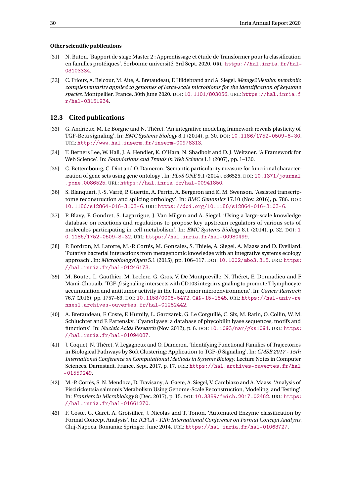#### **Other scientific publications**

- <span id="page-32-12"></span>[31] N. Buton. 'Rapport de stage Master 2 : Apprentissage et étude de Transformer pour la classification en familles protéiques'. Sorbonne université, 3rd Sept. 2020. URL: [https://hal.inria.fr/hal-](https://hal.inria.fr/hal-03103334)[03103334](https://hal.inria.fr/hal-03103334).
- [32] C. Frioux, A. Belcour, M. Aite, A. Bretaudeau, F. Hildebrand and A. Siegel. *Metage2Metabo: metabolic complementarity applied to genomes of large-scale microbiotas for the identification of keystone species*. Montpellier, France, 30th June 2020. DOI: [10.1101/803056](https://doi.org/10.1101/803056). URL: [https://hal.inria.f](https://hal.inria.fr/hal-03151934) [r/hal-03151934](https://hal.inria.fr/hal-03151934).

#### <span id="page-32-0"></span>**12.3 Cited publications**

- <span id="page-32-6"></span>[33] G. Andrieux, M. Le Borgne and N. Théret. 'An integrative modeling framework reveals plasticity of TGF-Beta signaling'. In: *BMC Systems Biology* 8.1 (2014), p. 30. DOI: [10.1186/1752-0509-8-30](https://doi.org/10.1186/1752-0509-8-30). URL: <http://www.hal.inserm.fr/inserm-00978313>.
- <span id="page-32-1"></span>[34] T. Berners Lee, W. Hall, J. A. Hendler, K. O'Hara, N. Shadbolt and D. J. Weitzner. 'A Framework for Web Science'. In: *Foundations and Trends in Web Science* 1.1 (2007), pp. 1–130.
- <span id="page-32-9"></span>[35] C. Bettembourg, C. Diot and O. Dameron. 'Semantic particularity measure for functional characterization of gene sets using gene ontology'. In: *PLoS ONE* 9.1 (2014). e86525. DOI: [10.1371/journal](https://doi.org/10.1371/journal.pone.0086525) [.pone.0086525](https://doi.org/10.1371/journal.pone.0086525). URL: <https://hal.inria.fr/hal-00941850>.
- <span id="page-32-4"></span>[36] S. Blanquart, J.-S. Varré, P. Guertin, A. Perrin, A. Bergeron and K. M. Swenson. 'Assisted transcriptome reconstruction and splicing orthology'. In: *BMC Genomics* 17.10 (Nov. 2016), p. 786. DOI: [10.1186/s12864-016-3103-6](https://doi.org/10.1186/s12864-016-3103-6). URL: <https://doi.org/10.1186/s12864-016-3103-6>.
- <span id="page-32-5"></span>[37] P. Blavy, F. Gondret, S. Lagarrigue, J. Van Milgen and A. Siegel. 'Using a large-scale knowledge database on reactions and regulations to propose key upstream regulators of various sets of molecules participating in cell metabolism'. In: *BMC Systems Biology* 8.1 (2014), p. 32. DOI: [1](https://doi.org/10.1186/1752-0509-8-32) [0.1186/1752-0509-8-32](https://doi.org/10.1186/1752-0509-8-32). URL: <https://hal.inria.fr/hal-00980499>.
- <span id="page-32-8"></span>[38] P. Bordron, M. Latorre, M.-P. Cortés, M. Gonzales, S. Thiele, A. Siegel, A. Maass and D. Eveillard. 'Putative bacterial interactions from metagenomic knowledge with an integrative systems ecology approach'. In: *MicrobiologyOpen* 5.1 (2015), pp. 106–117. DOI: [10.1002/mbo3.315](https://doi.org/10.1002/mbo3.315). URL: [https:](https://hal.inria.fr/hal-01246173) [//hal.inria.fr/hal-01246173](https://hal.inria.fr/hal-01246173).
- <span id="page-32-10"></span>[39] M. Boutet, L. Gauthier, M. Leclerc, G. Gros, V. De Montpreville, N. Théret, E. Donnadieu and F. Mami-Chouaib. 'TGF-*β* signaling intersects with CD103 integrin signaling to promote T lymphocyte accumulation and antitumor activity in the lung tumor microenvironment'. In: *Cancer Research* 76.7 (2016), pp. 1757–69. DOI: [10.1158/0008-5472.CAN-15-1545](https://doi.org/10.1158/0008-5472.CAN-15-1545). URL: [https://hal-univ-re](https://hal-univ-rennes1.archives-ouvertes.fr/hal-01282442) [nnes1.archives-ouvertes.fr/hal-01282442](https://hal-univ-rennes1.archives-ouvertes.fr/hal-01282442).
- <span id="page-32-2"></span>[40] A. Bretaudeau, F. Coste, F. Humily, L. Garczarek, G. Le Corguillé, C. Six, M. Ratin, O. Collin, W. M. Schluchter and F. Partensky. 'CyanoLyase: a database of phycobilin lyase sequences, motifs and functions'. In: *Nucleic Acids Research* (Nov. 2012), p. 6. DOI: [10.1093/nar/gks1091](https://doi.org/10.1093/nar/gks1091). URL: [https:](https://hal.inria.fr/hal-01094087) [//hal.inria.fr/hal-01094087](https://hal.inria.fr/hal-01094087).
- <span id="page-32-11"></span>[41] J. Coquet, N. Théret, V. Legagneux and O. Dameron. 'Identifying Functional Families of Trajectories in Biological Pathways by Soft Clustering: Application to TGF-*β* Signaling'. In: *CMSB 2017 - 15th International Conference on Computational Methods in Systems Biology*. Lecture Notes in Computer Sciences. Darmstadt, France, Sept. 2017, p. 17. URL: [https://hal.archives-ouvertes.fr/hal](https://hal.archives-ouvertes.fr/hal-01559249) [-01559249](https://hal.archives-ouvertes.fr/hal-01559249).
- <span id="page-32-3"></span>[42] M.-P. Cortés, S. N. Mendoza, D. Travisany, A. Gaete, A. Siegel, V. Cambiazo and A. Maass. 'Analysis of Piscirickettsia salmonis Metabolism Using Genome-Scale Reconstruction, Modeling, and Testing'. In: *Frontiers in Microbiology* 8 (Dec. 2017), p. 15. DOI: [10.3389/fmicb.2017.02462](https://doi.org/10.3389/fmicb.2017.02462). URL: [https:](https://hal.inria.fr/hal-01661270) [//hal.inria.fr/hal-01661270](https://hal.inria.fr/hal-01661270).
- <span id="page-32-7"></span>[43] F. Coste, G. Garet, A. Groisillier, J. Nicolas and T. Tonon. 'Automated Enzyme classification by Formal Concept Analysis'. In: *ICFCA - 12th International Conference on Formal Concept Analysis*. Cluj-Napoca, Romania: Springer, June 2014. URL: <https://hal.inria.fr/hal-01063727>.